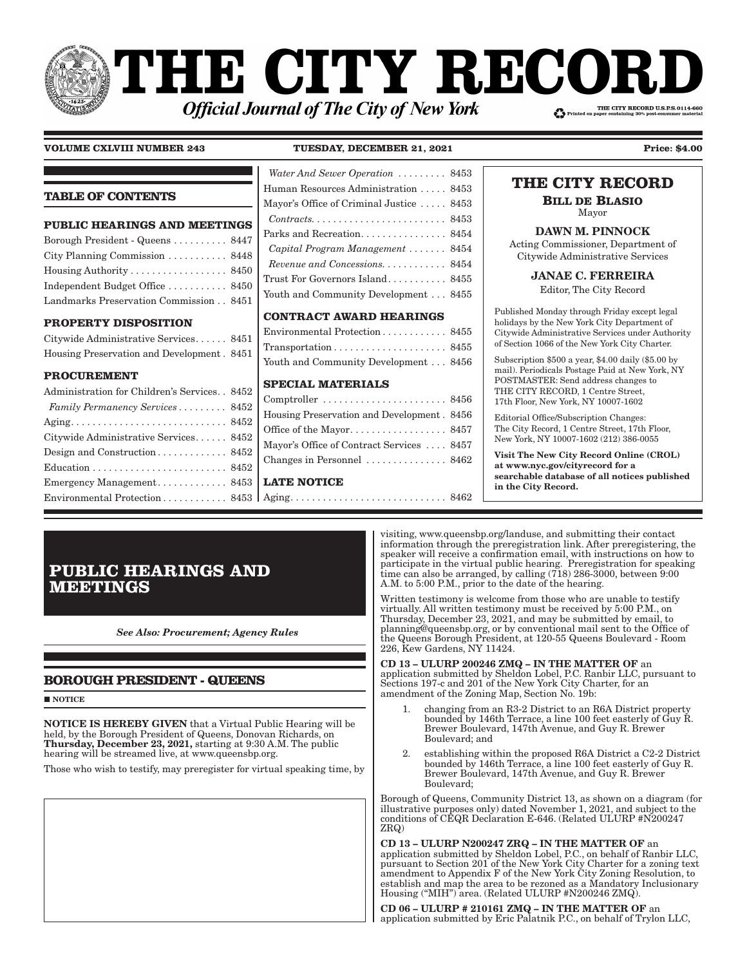# **THE CITY RECOI** THE CITY RECORD U.S.P.S.0114-660 **Official Journal of The City of New York**

### **VOLUME CXLVIII NUMBER 243 TUESDAY, DECEMBER 21, 2021 Price: \$4.00**

### **TABLE OF CONTENTS**

## **PUBLIC HEARINGS AND MEETINGS** Borough President - Queens . . . . . . . . . . 8447

| City Planning Commission $\ldots \ldots \ldots$ 8448 |  |
|------------------------------------------------------|--|
| Housing Authority 8450                               |  |
| Independent Budget Office  8450                      |  |
| Landmarks Preservation Commission 8451               |  |

### **PROPERTY DISPOSITION**

| Citywide Administrative Services 8451      |  |
|--------------------------------------------|--|
| Housing Preservation and Development. 8451 |  |

### **PROCUREMENT**

| Emergency Management 8453   I     |  |
|-----------------------------------|--|
| Environmental Protection 8453   A |  |
|                                   |  |

## *Water And Sewer Operation*  $\ldots \ldots \ldots 8453$ Human Resources Administration . . . . . 8453 Mayor's Office of Criminal Justice . . . . . 8453 *Contracts � � � � � � � � � � � � � � � � � � � � � � � �* 8453 Parks and Recreation. . . . . . . . . . . . . . . 8454 *Capital Program Management*  $\ldots \ldots$  8454 *Revenue and Concessions.*  $\ldots \ldots \ldots 8454$ Trust For Governors Island . . . . . . . . . . . 8455 Youth and Community Development . . . 8455

### **CONTRACT AWARD HEARINGS**

| Environmental Protection 8455                                          |  |
|------------------------------------------------------------------------|--|
| $Transportation \ldots \ldots \ldots \ldots \ldots \ldots \ldots 8455$ |  |
| Youth and Community Development 8456                                   |  |

### **SPECIAL MATERIALS**

| <b>LATE NOTICE</b>                         |  |
|--------------------------------------------|--|
| Changes in Personnel  8462                 |  |
| Mayor's Office of Contract Services  8457  |  |
|                                            |  |
| Housing Preservation and Development. 8456 |  |
|                                            |  |

### Aging . . . . . . . . . . . . . . . . . . . . . . . . . . . . . 8462

# **THE CITY RECORD**

**BILL DE BLASIO**

Mayor DAWN M. PINNOCK

Acting Commissioner, Department of Citywide Administrative Services

JANAE C. FERREIRA

Editor, The City Record

Published Monday through Friday except legal holidays by the New York City Department of Citywide Administrative Services under Authority of Section 1066 of the New York City Charter.

Subscription \$500 a year, \$4.00 daily (\$5.00 by mail). Periodicals Postage Paid at New York, NY POSTMASTER: Send address changes to THE CITY RECORD, 1 Centre Street, 17th Floor, New York, NY 10007-1602

Editorial Office/Subscription Changes: The City Record, 1 Centre Street, 17th Floor, New York, NY 10007-1602 (212) 386-0055

Visit The New City Record Online (CROL) at www.nyc.gov/cityrecord for a searchable database of all notices published in the City Record.

# **PUBLIC HEARINGS AND MEETINGS**

*See Also: Procurement; Agency Rules*

## **BOROUGH PRESIDENT - QUEENS**

**NOTICE** 

NOTICE IS HEREBY GIVEN that a Virtual Public Hearing will be held, by the Borough President of Queens, Donovan Richards, on Thursday, December 23, 2021, starting at 9:30 A.M. The public hearing will be streamed live, at www.queensbp.org.

Those who wish to testify, may preregister for virtual speaking time, by

visiting, www.queensbp.org/landuse, and submitting their contact information through the preregistration link. After preregistering, the speaker will receive a confirmation email, with instructions on how to participate in the virtual public hearing. Preregistration for speaking time can also be arranged, by calling (718) 286-3000, between 9:00 A.M. to 5:00 P.M., prior to the date of the hearing.

Written testimony is welcome from those who are unable to testify virtually. All written testimony must be received by 5:00 P.M., on Thursday, December 23, 2021, and may be submitted by email, to planning@queensbp.org, or by conventional mail sent to the Office of the Queens Borough President, at 120-55 Queens Boulevard - Room 226, Kew Gardens, NY 11424.

CD 13 – ULURP 200246 ZMQ – IN THE MATTER OF an application submitted by Sheldon Lobel, P.C. Ranbir LLC, pursuant to Sections 197-c and 201 of the New York City Charter, for an amendment of the Zoning Map, Section No. 19b:

- 1. changing from an R3-2 District to an R6A District property bounded by 146th Terrace, a line 100 feet easterly of Guy R. Brewer Boulevard, 147th Avenue, and Guy R. Brewer Boulevard; and
- 2. establishing within the proposed R6A District a C2-2 District bounded by 146th Terrace, a line 100 feet easterly of Guy R. Brewer Boulevard, 147th Avenue, and Guy R. Brewer Boulevard;

Borough of Queens, Community District 13, as shown on a diagram (for illustrative purposes only) dated November 1, 2021, and subject to the conditions of CEQR Declaration E-646. (Related ULURP #N200247 ZRQ)

CD 13 – ULURP N200247 ZRQ – IN THE MATTER OF an application submitted by Sheldon Lobel, P.C., on behalf of Ranbir LLC, pursuant to Section 201 of the New York City Charter for a zoning text amendment to Appendix F of the New York City Zoning Resolution, to establish and map the area to be rezoned as a Mandatory Inclusionary Housing ("MIH") area. (Related ULURP #N200246 ZMQ).

CD 06 – ULURP # 210161 ZMQ – IN THE MATTER OF an application submitted by Eric Palatnik P.C., on behalf of Trylon LLC,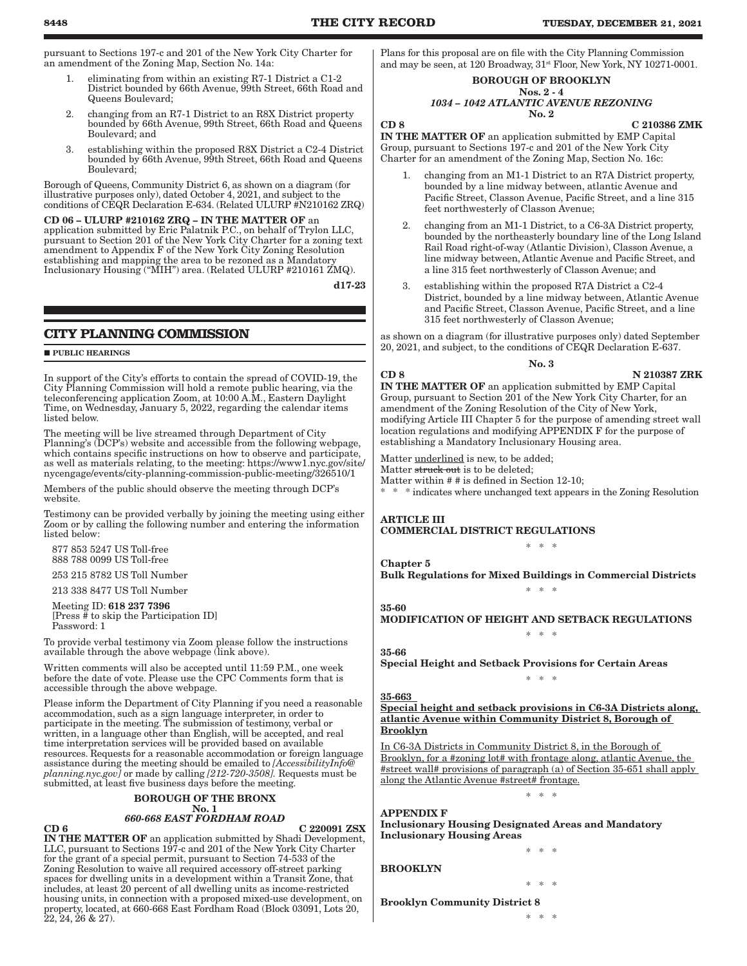pursuant to Sections 197-c and 201 of the New York City Charter for an amendment of the Zoning Map, Section No. 14a:

- 1. eliminating from within an existing R7-1 District a C1-2 District bounded by 66th Avenue, 99th Street, 66th Road and Queens Boulevard;
- 2. changing from an R7-1 District to an R8X District property bounded by 66th Avenue, 99th Street, 66th Road and Queens Boulevard; and
- 3. establishing within the proposed R8X District a C2-4 District bounded by 66th Avenue, 99th Street, 66th Road and Queens Boulevard;

Borough of Queens, Community District 6, as shown on a diagram (for illustrative purposes only), dated October 4, 2021, and subject to the conditions of CEQR Declaration E-634. (Related ULURP #N210162 ZRQ)

#### CD 06 – ULURP #210162 ZRQ – IN THE MATTER OF an

application submitted by Eric Palatnik P.C., on behalf of Trylon LLC, pursuant to Section 201 of the New York City Charter for a zoning text amendment to Appendix F of the New York City Zoning Resolution establishing and mapping the area to be rezoned as a Mandatory Inclusionary Housing ("MIH") area. (Related ULURP #210161 ZMQ).

d17-23

### **CITY PLANNING COMMISSION**

#### **PUBLIC HEARINGS**

In support of the City's efforts to contain the spread of COVID-19, the City Planning Commission will hold a remote public hearing, via the teleconferencing application Zoom, at 10:00 A.M., Eastern Daylight Time, on Wednesday, January 5, 2022, regarding the calendar items listed below.

The meeting will be live streamed through Department of City Planning's (DCP's) website and accessible from the following webpage, which contains specific instructions on how to observe and participate, as well as materials relating, to the meeting: https://www1.nyc.gov/site/ nycengage/events/city-planning-commission-public-meeting/326510/1

Members of the public should observe the meeting through DCP's website.

Testimony can be provided verbally by joining the meeting using either Zoom or by calling the following number and entering the information listed below:

 877 853 5247 US Toll-free 888 788 0099 US Toll-free

253 215 8782 US Toll Number

213 338 8477 US Toll Number

 Meeting ID: 618 237 7396 [Press # to skip the Participation ID] Password: 1

To provide verbal testimony via Zoom please follow the instructions available through the above webpage (link above).

Written comments will also be accepted until 11:59 P.M., one week before the date of vote. Please use the CPC Comments form that is accessible through the above webpage.

Please inform the Department of City Planning if you need a reasonable accommodation, such as a sign language interpreter, in order to participate in the meeting. The submission of testimony, verbal or written, in a language other than English, will be accepted, and real time interpretation services will be provided based on available resources. Requests for a reasonable accommodation or foreign language assistance during the meeting should be emailed to *[AccessibilityInfo@ planning.nyc.gov]* or made by calling *[212-720-3508].* Requests must be submitted, at least five business days before the meeting.

### BOROUGH OF THE BRONX No. 1

*660-668 EAST FORDHAM ROAD*  $CD 6$  C 220091 ZSX

IN THE MATTER OF an application submitted by Shadi Development, LLC, pursuant to Sections 197-c and 201 of the New York City Charter for the grant of a special permit, pursuant to Section 74-533 of the Zoning Resolution to waive all required accessory off-street parking spaces for dwelling units in a development within a Transit Zone, that includes, at least 20 percent of all dwelling units as income-restricted housing units, in connection with a proposed mixed-use development, on property, located, at 660-668 East Fordham Road (Block 03091, Lots 20, 22, 24, 26 & 27).

Plans for this proposal are on file with the City Planning Commission and may be seen, at 120 Broadway,  $31<sup>st</sup>$  Floor, New York, NY 10271-0001.

#### BOROUGH OF BROOKLYN Nos. 2 - 4

#### *1034 – 1042 ATLANTIC AVENUE REZONING* No. 2

CD 8 C 210386 ZMK

IN THE MATTER OF an application submitted by EMP Capital Group, pursuant to Sections 197-c and 201 of the New York City Charter for an amendment of the Zoning Map, Section No. 16c:

- changing from an M1-1 District to an R7A District property, bounded by a line midway between, atlantic Avenue and Pacific Street, Classon Avenue, Pacific Street, and a line 315 feet northwesterly of Classon Avenue;
- 2. changing from an M1-1 District, to a C6-3A District property, bounded by the northeasterly boundary line of the Long Island Rail Road right-of-way (Atlantic Division), Classon Avenue, a line midway between, Atlantic Avenue and Pacific Street, and a line 315 feet northwesterly of Classon Avenue; and
- 3. establishing within the proposed R7A District a C2-4 District, bounded by a line midway between, Atlantic Avenue and Pacific Street, Classon Avenue, Pacific Street, and a line 315 feet northwesterly of Classon Avenue;

as shown on a diagram (for illustrative purposes only) dated September 20, 2021, and subject, to the conditions of CEQR Declaration E-637.

No. 3

#### CD 8 N 210387 ZRK

IN THE MATTER OF an application submitted by EMP Capital Group, pursuant to Section 201 of the New York City Charter, for an amendment of the Zoning Resolution of the City of New York, modifying Article III Chapter 5 for the purpose of amending street wall location regulations and modifying APPENDIX F for the purpose of establishing a Mandatory Inclusionary Housing area.

Matter underlined is new, to be added;

Matter struck out is to be deleted;

Matter within # # is defined in Section 12-10;

\* \* \* indicates where unchanged text appears in the Zoning Resolution

ARTICLE III COMMERCIAL DISTRICT REGULATIONS

Bulk Regulations for Mixed Buildings in Commercial Districts \* \* \*

\* \* \*

### 35-60

35-66

Chapter 5

MODIFICATION OF HEIGHT AND SETBACK REGULATIONS \* \* \*

Special Height and Setback Provisions for Certain Areas

### 35-663

Special height and setback provisions in C6-3A Districts along, atlantic Avenue within Community District 8, Borough of Brooklyn

\* \* \*

In C6-3A Districts in Community District 8, in the Borough of Brooklyn, for a #zoning lot# with frontage along, atlantic Avenue, the #street wall# provisions of paragraph (a) of Section 35-651 shall apply along the Atlantic Avenue #street# frontage.

\* \* \*

\* \* \*

\* \* \*

### APPENDIX F

Inclusionary Housing Designated Areas and Mandatory Inclusionary Housing Areas

### BROOKLYN

Brooklyn Community District 8

\* \* \*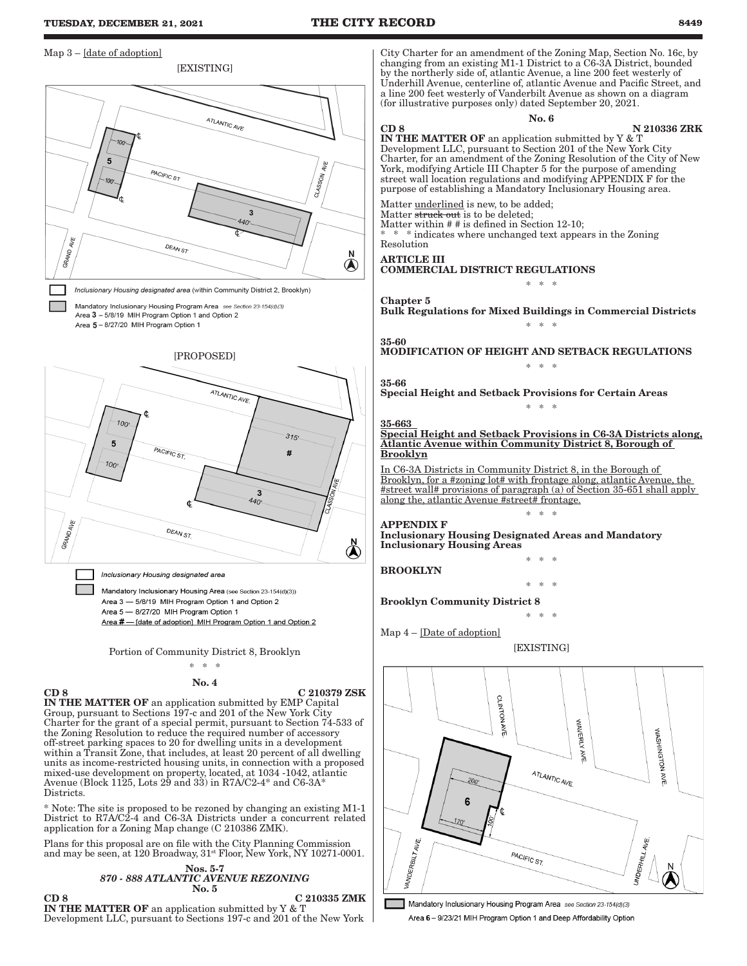#### **TUESDAY, DECEMBER 21, 2021 THE CITY RECORD 8449** Map 3 – [date of adoption] City Charter for an amendment of the Zoning Map, Section No. 16c, by changing from an existing M1-1 District to a C6-3A District, bounded [EXISTING] by the northerly side of, atlantic Avenue, a line 200 feet westerly of Underhill Avenue, centerline of, atlantic Avenue and Pacific Street, and a line 200 feet westerly of Vanderbilt Avenue as shown on a diagram (for illustrative purposes only) dated September 20, 2021. No. 6 **ATLANTIC AVE** CD 8 N 210336 ZRK IN THE MATTER OF an application submitted by Y & T Development LLC, pursuant to Section 201 of the New York City Charter, for an amendment of the Zoning Resolution of the City of New 5 4VE York, modifying Article III Chapter 5 for the purpose of amending PACIFIC ST **CLASSON** street wall location regulations and modifying APPENDIX F for the  $-100$ purpose of establishing a Mandatory Inclusionary Housing area. Matter *underlined* is new, to be added;  $\overline{3}$ Matter struck out is to be deleted; 440' Matter within # # is defined in Section 12-10; \* \* \* indicates where unchanged text appears in the Zoning Resolution DEAN ST GRAND N ARTICLE III  $\bigcirc$ COMMERCIAL DISTRICT REGULATIONS \* \* \* Inclusionary Housing designated area (within Community District 2, Brooklyn) Chapter 5 Mandatory Inclusionary Housing Program Area see Section 23-154(d)(3) Bulk Regulations for Mixed Buildings in Commercial Districts Area 3 - 5/8/19 MIH Program Option 1 and Option 2 Area 5 - 8/27/20 MIH Program Option 1 \* \* \* 35-60 MODIFICATION OF HEIGHT AND SETBACK REGULATIONS [PROPOSED] \* \* \* 35-66 ATLANTIC AVE Special Height and Setback Provisions for Certain Areas \* \* \*  $100$ 35-663 Special Height and Setback Provisions in C6-3A Districts along,  $315'$  $\overline{5}$ Atlantic Avenue within Community District 8, Borough of PACIFIC ST. Brooklyn #  $100$ In C6-3A Districts in Community District 8, in the Borough of Brooklyn, for a #zoning lot# with frontage along, atlantic Avenue, the #street wall# provisions of paragraph (a) of Section 35-651 shall apply 3  $440$ along the, atlantic Avenue #street# frontage. \* \* \* APPENDIX F GRANDAI DEAN ST. Inclusionary Housing Designated Areas and Mandatory  $\mathbb{A}$ Inclusionary Housing Areas \* \* \* BROOKLYN Inclusionary Housing designated area \* \* \* Mandatory Inclusionary Housing Area (see Section 23-154(d)(3)) Area 3 - 5/8/19 MIH Program Option 1 and Option 2 Brooklyn Community District 8 Area 5 - 8/27/20 MIH Program Option 1  $*$ Area # - [date of adoption] MIH Program Option 1 and Option 2 Map 4 – [Date of adoption] **[EXISTING]** Portion of Community District 8, Brooklyn \* \* \* No. 4  $CD 8$  C 210379 ZSK **CLINTON** IN THE MATTER OF an application submitted by EMP Capital Group, pursuant to Sections 197-c and 201 of the New York City Charter for the grant of a special permit, pursuant to Section 74-533 of WAVERLY **AVE** WASHINGTON AVE the Zoning Resolution to reduce the required number of accessory off-street parking spaces to 20 for dwelling units in a development within a Transit Zone, that includes, at least 20 percent of all dwelling ΚĚ units as income-restricted housing units, in connection with a proposed ATLANTIC AVE. mixed-use development on property, located, at 1034 -1042, atlantic Avenue (Block 1125, Lots  $29$  and  $33$ ) in R7A/C2-4\* and C6- $3A^*$ Districts. 6 \* Note: The site is proposed to be rezoned by changing an existing M1-1 District to R7A/C2-4 and C6-3A Districts under a concurrent related application for a Zoning Map change (C 210386 ZMK). VANDERBILT AVE. UNDERHILL AVE. Plans for this proposal are on file with the City Planning Commission and may be seen, at 120 Broadway, 31<sup>st</sup> Floor, New York, NY 10271-0001. PACIFIC ST. Nos. 5-7 *870 - 888 ATLANTIC AVENUE REZONING*

No. 5 CD 8 C 210335 ZMK IN THE MATTER OF an application submitted by Y & T Development LLC, pursuant to Sections 197-c and 201 of the New York

Mandatory Inclusionary Housing Program Area see Section 23-154(d)(3) Area 6 - 9/23/21 MIH Program Option 1 and Deep Affordability Option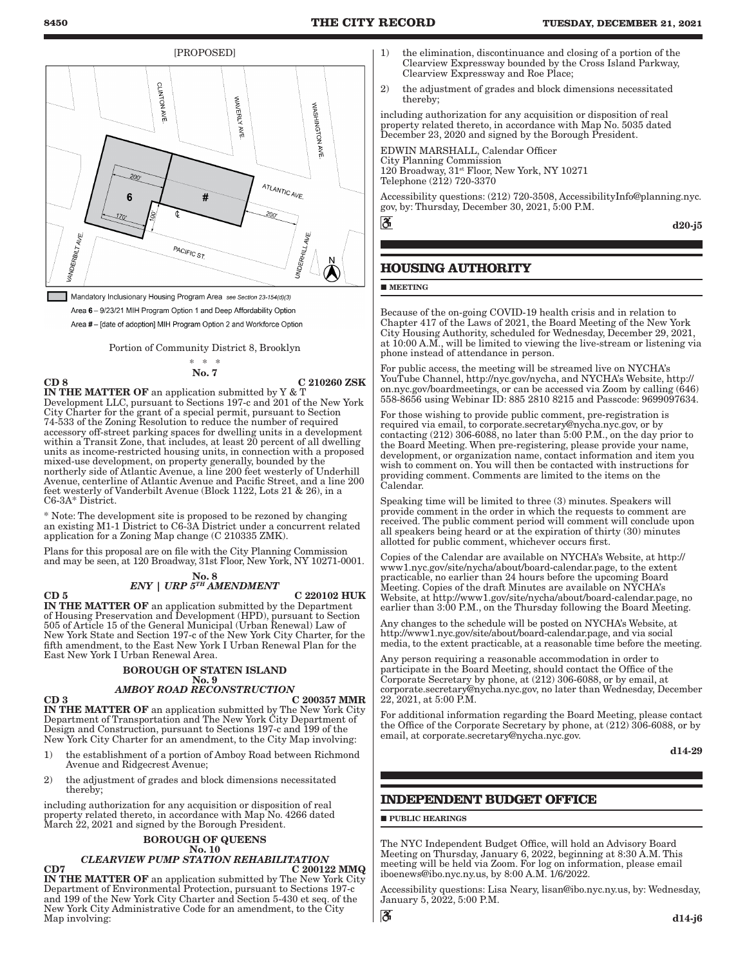[PROPOSED]



Mandatory Inclusionary Housing Program Area see Section 23-154(d)(3) Area 6 - 9/23/21 MIH Program Option 1 and Deep Affordability Option Area #- [date of adoption] MIH Program Option 2 and Workforce Option

Portion of Community District 8, Brooklyn

#### \* \* \* No. 7

CD 8 C 210260 ZSK IN THE MATTER OF an application submitted by Y & T Development LLC, pursuant to Sections 197-c and 201 of the New York City Charter for the grant of a special permit, pursuant to Section 74-533 of the Zoning Resolution to reduce the number of required accessory off-street parking spaces for dwelling units in a development within a Transit Zone, that includes, at least 20 percent of all dwelling units as income-restricted housing units, in connection with a proposed mixed-use development, on property generally, bounded by the northerly side of Atlantic Avenue, a line 200 feet westerly of Underhill Avenue, centerline of Atlantic Avenue and Pacific Street, and a line 200 feet westerly of Vanderbilt Avenue (Block 1122, Lots 21 & 26), in a C6-3A\* District.

\* Note: The development site is proposed to be rezoned by changing an existing M1-1 District to C6-3A District under a concurrent related application for a Zoning Map change (C 210335 ZMK).

Plans for this proposal are on file with the City Planning Commission and may be seen, at 120 Broadway, 31st Floor, New York, NY 10271-0001.

#### No. 8 *ENY | URP 5TH AMENDMENT*

 $CD 5$  C 220102 HUK

IN THE MATTER OF an application submitted by the Department of Housing Preservation and Development (HPD), pursuant to Section 505 of Article 15 of the General Municipal (Urban Renewal) Law of New York State and Section 197-c of the New York City Charter, for the fifth amendment, to the East New York I Urban Renewal Plan for the East New York I Urban Renewal Area.

### BOROUGH OF STATEN ISLAND

## No. 9 *AMBOY ROAD RECONSTRUCTION*

 $CD 3$  C 200357 MMR IN THE MATTER OF an application submitted by The New York City Department of Transportation and The New York City Department of Design and Construction, pursuant to Sections 197-c and 199 of the New York City Charter for an amendment, to the City Map involving:

- 1) the establishment of a portion of Amboy Road between Richmond Avenue and Ridgecrest Avenue;
- 2) the adjustment of grades and block dimensions necessitated thereby;

including authorization for any acquisition or disposition of real property related thereto, in accordance with Map No. 4266 dated March 22, 2021 and signed by the Borough President.

### BOROUGH OF QUEENS

#### No. 10 *CLEARVIEW PUMP STATION REHABILITATION*

 $CD7$  C 200122 MMQ IN THE MATTER OF an application submitted by The New York City Department of Environmental Protection, pursuant to Sections 197-c and 199 of the New York City Charter and Section 5-430 et seq. of the New York City Administrative Code for an amendment, to the City Map involving:

- 1) the elimination, discontinuance and closing of a portion of the Clearview Expressway bounded by the Cross Island Parkway, Clearview Expressway and Roe Place;
- 2) the adjustment of grades and block dimensions necessitated thereby;

including authorization for any acquisition or disposition of real property related thereto, in accordance with Map No. 5035 dated December 23, 2020 and signed by the Borough President.

EDWIN MARSHALL, Calendar Officer City Planning Commission 120 Broadway, 31st Floor, New York, NY 10271 Telephone (212) 720-3370

Accessibility questions: (212) 720-3508, AccessibilityInfo@planning.nyc. gov, by: Thursday, December 30, 2021, 5:00 P.M.

d20-j5

## **HOUSING AUTHORITY**

**MEETING** 

 $\overline{\mathbf{c}}$ 

Because of the on-going COVID-19 health crisis and in relation to Chapter 417 of the Laws of 2021, the Board Meeting of the New York City Housing Authority, scheduled for Wednesday, December 29, 2021, at 10:00 A.M., will be limited to viewing the live-stream or listening via phone instead of attendance in person.

For public access, the meeting will be streamed live on NYCHA's YouTube Channel, http://nyc.gov/nycha, and NYCHA's Website, http:// on.nyc.gov/boardmeetings, or can be accessed via Zoom by calling (646) 558-8656 using Webinar ID: 885 2810 8215 and Passcode: 9699097634.

For those wishing to provide public comment, pre-registration is required via email, to corporate.secretary@nycha.nyc.gov, or by contacting (212) 306-6088, no later than 5:00 P.M., on the day prior to the Board Meeting. When pre-registering, please provide your name, development, or organization name, contact information and item you wish to comment on. You will then be contacted with instructions for providing comment. Comments are limited to the items on the Calendar.

Speaking time will be limited to three (3) minutes. Speakers will provide comment in the order in which the requests to comment are received. The public comment period will comment will conclude upon all speakers being heard or at the expiration of thirty (30) minutes allotted for public comment, whichever occurs first.

Copies of the Calendar are available on NYCHA's Website, at http:// www1.nyc.gov/site/nycha/about/board-calendar.page, to the extent practicable, no earlier than 24 hours before the upcoming Board Meeting. Copies of the draft Minutes are available on NYCHA's Website, at http://www1.gov/site/nycha/about/board-calendar.page, no earlier than 3:00 P.M., on the Thursday following the Board Meeting.

Any changes to the schedule will be posted on NYCHA's Website, at http://www1.nyc.gov/site/about/board-calendar.page, and via social media, to the extent practicable, at a reasonable time before the meeting.

Any person requiring a reasonable accommodation in order to participate in the Board Meeting, should contact the Office of the Corporate Secretary by phone, at (212) 306-6088, or by email, at corporate.secretary@nycha.nyc.gov, no later than Wednesday, December 22, 2021, at 5:00 P.M.

For additional information regarding the Board Meeting, please contact the Office of the Corporate Secretary by phone, at (212) 306-6088, or by email, at corporate.secretary@nycha.nyc.gov.

d14-29

## **INDEPENDENT BUDGET OFFICE**

**PUBLIC HEARINGS** 

The NYC Independent Budget Office, will hold an Advisory Board Meeting on Thursday, January 6, 2022, beginning at 8:30 A.M. This meeting will be held via Zoom. For log on information, please email iboenews@ibo.nyc.ny.us, by 8:00 A.M. 1/6/2022.

Accessibility questions: Lisa Neary, lisan@ibo.nyc.ny.us, by: Wednesday, January 5, 2022, 5:00 P.M.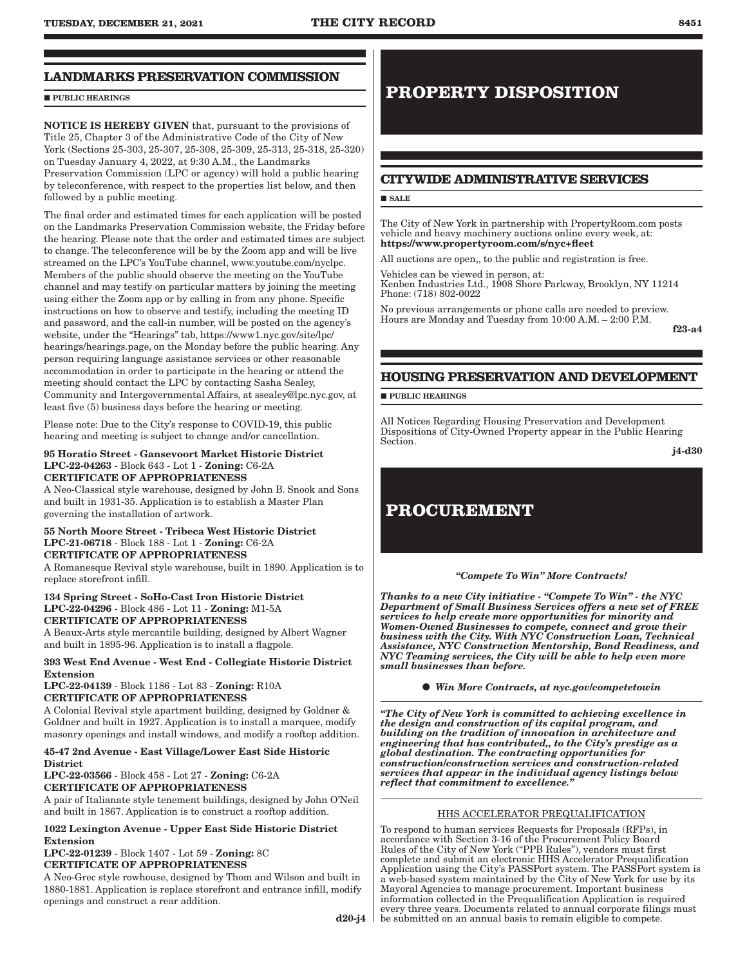## **LANDMARKS PRESERVATION COMMISSION**

### **PUBLIC HEARINGS**

NOTICE IS HEREBY GIVEN that, pursuant to the provisions of Title 25, Chapter 3 of the Administrative Code of the City of New York (Sections 25-303, 25-307, 25-308, 25-309, 25-313, 25-318, 25-320) on Tuesday January 4, 2022, at 9:30 A.M., the Landmarks Preservation Commission (LPC or agency) will hold a public hearing by teleconference, with respect to the properties list below, and then followed by a public meeting.

The final order and estimated times for each application will be posted on the Landmarks Preservation Commission website, the Friday before the hearing. Please note that the order and estimated times are subject to change. The teleconference will be by the Zoom app and will be live streamed on the LPC's YouTube channel, www.youtube.com/nyclpc. Members of the public should observe the meeting on the YouTube channel and may testify on particular matters by joining the meeting using either the Zoom app or by calling in from any phone. Specific instructions on how to observe and testify, including the meeting ID and password, and the call-in number, will be posted on the agency's website, under the "Hearings" tab, https://www1.nyc.gov/site/lpc/ hearings/hearings.page, on the Monday before the public hearing. Any person requiring language assistance services or other reasonable accommodation in order to participate in the hearing or attend the meeting should contact the LPC by contacting Sasha Sealey, Community and Intergovernmental Affairs, at ssealey@lpc.nyc.gov, at least five (5) business days before the hearing or meeting.

Please note: Due to the City's response to COVID-19, this public hearing and meeting is subject to change and/or cancellation.

#### 95 Horatio Street - Gansevoort Market Historic District LPC-22-04263 - Block 643 - Lot 1 - Zoning: C6-2A CERTIFICATE OF APPROPRIATENESS

A Neo-Classical style warehouse, designed by John B. Snook and Sons and built in 1931-35. Application is to establish a Master Plan governing the installation of artwork.

#### 55 North Moore Street - Tribeca West Historic District LPC-21-06718 - Block 188 - Lot 1 - Zoning: C6-2A CERTIFICATE OF APPROPRIATENESS

A Romanesque Revival style warehouse, built in 1890. Application is to replace storefront infill.

#### 134 Spring Street - SoHo-Cast Iron Historic District LPC-22-04296 - Block 486 - Lot 11 - Zoning: M1-5A CERTIFICATE OF APPROPRIATENESS

A Beaux-Arts style mercantile building, designed by Albert Wagner and built in 1895-96. Application is to install a flagpole.

### 393 West End Avenue - West End - Collegiate Historic District Extension

LPC-22-04139 - Block 1186 - Lot 83 - Zoning: R10A CERTIFICATE OF APPROPRIATENESS

A Colonial Revival style apartment building, designed by Goldner & Goldner and built in 1927. Application is to install a marquee, modify masonry openings and install windows, and modify a rooftop addition.

### 45-47 2nd Avenue - East Village/Lower East Side Historic **District**

LPC-22-03566 - Block 458 - Lot 27 - Zoning: C6-2A CERTIFICATE OF APPROPRIATENESS

A pair of Italianate style tenement buildings, designed by John O'Neil and built in 1867. Application is to construct a rooftop addition.

### 1022 Lexington Avenue - Upper East Side Historic District Extension

LPC-22-01239 - Block 1407 - Lot 59 - Zoning: 8C CERTIFICATE OF APPROPRIATENESS

A Neo-Grec style rowhouse, designed by Thom and Wilson and built in 1880-1881. Application is replace storefront and entrance infill, modify openings and construct a rear addition.

# **PROPERTY DISPOSITION**

# **CITYWIDE ADMINISTRATIVE SERVICES**

### **SALE**

The City of New York in partnership with PropertyRoom.com posts vehicle and heavy machinery auctions online every week, at: https://www.propertyroom.com/s/nyc+fleet

All auctions are open,, to the public and registration is free.

Vehicles can be viewed in person, at: Kenben Industries Ltd., 1908 Shore Parkway, Brooklyn, NY 11214 Phone: (718) 802-0022

No previous arrangements or phone calls are needed to preview. Hours are Monday and Tuesday from 10:00 A.M. - 2:00 P.M.

f23-a4

## **HOUSING PRESERVATION AND DEVELOPMENT**

**PUBLIC HEARINGS** 

All Notices Regarding Housing Preservation and Development Dispositions of City-Owned Property appear in the Public Hearing Section.

j4-d30

# **PROCUREMENT**

#### *"Compete To Win" More Contracts!*

*Thanks to a new City initiative - "Compete To Win" - the NYC Department of Small Business Services offers a new set of FREE services to help create more opportunities for minority and Women-Owned Businesses to compete, connect and grow their business with the City. With NYC Construction Loan, Technical Assistance, NYC Construction Mentorship, Bond Readiness, and NYC Teaming services, the City will be able to help even more small businesses than before.*

*Win More Contracts, at nyc.gov/competetowin*

*"The City of New York is committed to achieving excellence in the design and construction of its capital program, and building on the tradition of innovation in architecture and engineering that has contributed,, to the City's prestige as a global destination. The contracting opportunities for construction/construction services and construction-related services that appear in the individual agency listings below reflect that commitment to excellence."*

### HHS ACCELERATOR PREQUALIFICATION

To respond to human services Requests for Proposals (RFPs), in accordance with Section 3-16 of the Procurement Policy Board Rules of the City of New York ("PPB Rules"), vendors must first complete and submit an electronic HHS Accelerator Prequalification Application using the City's PASSPort system. The PASSPort system is a web-based system maintained by the City of New York for use by its Mayoral Agencies to manage procurement. Important business information collected in the Prequalification Application is required every three years. Documents related to annual corporate filings must be submitted on an annual basis to remain eligible to compete.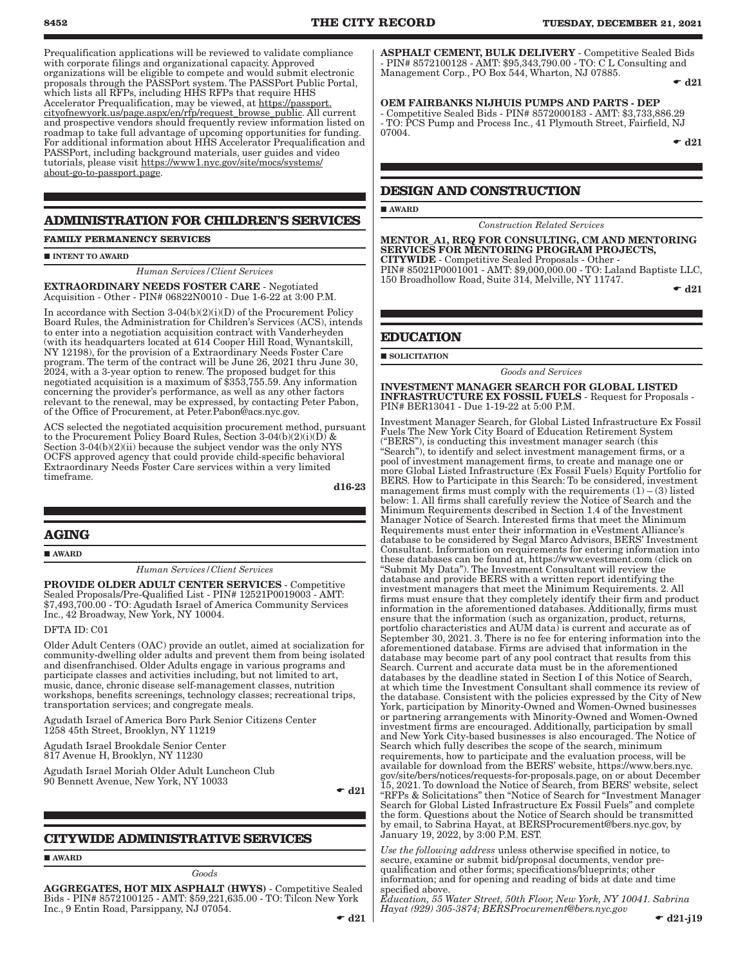Prequalification applications will be reviewed to validate compliance with corporate filings and organizational capacity. Approved organizations will be eligible to compete and would submit electronic proposals through the PASSPort system. The PASSPort Public Portal, which lists all RFPs, including HHS RFPs that require HHS Accelerator Prequalification, may be viewed, at https://passport. cityofnewyork.us/page.aspx/en/rfp/request\_browse\_public. All current and prospective vendors should frequently review information listed on roadmap to take full advantage of upcoming opportunities for funding. For additional information about HHS Accelerator Prequalification and PASSPort, including background materials, user guides and video tutorials, please visit https://www1.nyc.gov/site/mocs/systems/ about-go-to-passport.page.

### **ADMINISTRATION FOR CHILDREN'S SERVICES**

**FAMILY PERMANENCY SERVICES**

#### INTENT TO AWARD

*Human Services/Client Services*

EXTRAORDINARY NEEDS FOSTER CARE - Negotiated Acquisition - Other - PIN# 06822N0010 - Due 1-6-22 at 3:00 P.M.

In accordance with Section 3-04(b)(2)(i)(D) of the Procurement Policy Board Rules, the Administration for Children's Services (ACS), intends to enter into a negotiation acquisition contract with Vanderheyden (with its headquarters located at 614 Cooper Hill Road, Wynantskill, NY 12198), for the provision of a Extraordinary Needs Foster Care program. The term of the contract will be June 26, 2021 thru June 30, 2024, with a 3-year option to renew. The proposed budget for this negotiated acquisition is a maximum of \$353,755.59. Any information concerning the provider's performance, as well as any other factors relevant to the renewal, may be expressed, by contacting Peter Pabon, of the Office of Procurement, at Peter.Pabon@acs.nyc.gov.

ACS selected the negotiated acquisition procurement method, pursuant to the Procurement Policy Board Rules, Section 3-04(b)(2)(i)(D) & Section 3-04(b)(2)(ii) because the subject vendor was the only NYS OCFS approved agency that could provide child-specific behavioral Extraordinary Needs Foster Care services within a very limited timeframe.

d16-23

### **AGING**

AWARD

*Human Services/Client Services*

PROVIDE OLDER ADULT CENTER SERVICES - Competitive Sealed Proposals/Pre-Qualified List - PIN# 12521P0019003 - AMT: \$7,493,700.00 - TO: Agudath Israel of America Community Services Inc., 42 Broadway, New York, NY 10004.

DFTA ID: C01

Older Adult Centers (OAC) provide an outlet, aimed at socialization for community-dwelling older adults and prevent them from being isolated and disenfranchised. Older Adults engage in various programs and participate classes and activities including, but not limited to art, music, dance, chronic disease self-management classes, nutrition workshops, benefits screenings, technology classes; recreational trips, transportation services; and congregate meals.

Agudath Israel of America Boro Park Senior Citizens Center 1258 45th Street, Brooklyn, NY 11219

Agudath Israel Brookdale Senior Center 817 Avenue H, Brooklyn, NY 11230

Agudath Israel Moriah Older Adult Luncheon Club 90 Bennett Avenue, New York, NY 10033

 $- d21$ 

### **CITYWIDE ADMINISTRATIVE SERVICES**

### **AWARD**

*Goods*

AGGREGATES, HOT MIX ASPHALT (HWYS) - Competitive Sealed Bids - PIN# 8572100125 - AMT: \$59,221,635.00 - TO: Tilcon New York Inc., 9 Entin Road, Parsippany, NJ 07054.

ASPHALT CEMENT, BULK DELIVERY - Competitive Sealed Bids - PIN# 8572100128 - AMT: \$95,343,790.00 - TO: C L Consulting and Management Corp., PO Box 544, Wharton, NJ 07885.

 $\bullet$  d21

OEM FAIRBANKS NIJHUIS PUMPS AND PARTS - DEP - Competitive Sealed Bids - PIN# 8572000183 - AMT: \$3,733,886.29 - TO: PCS Pump and Process Inc., 41 Plymouth Street, Fairfield, NJ 07004.

 $\bullet$  d21

### **DESIGN AND CONSTRUCTION**

#### **AWARD**

*Construction Related Services*

MENTOR\_A1, REQ FOR CONSULTING, CM AND MENTORING SERVICES FOR MENTORING PROGRAM PROJECTS, CITYWIDE - Competitive Sealed Proposals - Other - PIN# 85021P0001001 - AMT: \$9,000,000.00 - TO: Laland Baptiste LLC, 150 Broadhollow Road, Suite 314, Melville, NY 11747.

 $\bullet$  d21

#### **EDUCATION**

 $\blacksquare$  SOLICITATION

*Goods and Services*

#### INVESTMENT MANAGER SEARCH FOR GLOBAL LISTED INFRASTRUCTURE EX FOSSIL FUELS - Request for Proposals - PIN# BER13041 - Due 1-19-22 at 5:00 P.M.

Investment Manager Search, for Global Listed Infrastructure Ex Fossil Fuels The New York City Board of Education Retirement System ("BERS"), is conducting this investment manager search (this "Search"), to identify and select investment management firms, or a pool of investment management firms, to create and manage one or more Global Listed Infrastructure (Ex Fossil Fuels) Equity Portfolio for BERS. How to Participate in this Search: To be considered, investment management firms must comply with the requirements  $(1) - (3)$  listed below: 1. All firms shall carefully review the Notice of Search and the Minimum Requirements described in Section 1.4 of the Investment Manager Notice of Search. Interested firms that meet the Minimum Requirements must enter their information in eVestment Alliance's database to be considered by Segal Marco Advisors, BERS' Investment Consultant. Information on requirements for entering information into these databases can be found at, https://www.evestment.com (click on "Submit My Data"). The Investment Consultant will review the database and provide BERS with a written report identifying the investment managers that meet the Minimum Requirements. 2. All firms must ensure that they completely identify their firm and product information in the aforementioned databases. Additionally, firms must ensure that the information (such as organization, product, returns, portfolio characteristics and AUM data) is current and accurate as of September 30, 2021. 3. There is no fee for entering information into the aforementioned database. Firms are advised that information in the database may become part of any pool contract that results from this Search. Current and accurate data must be in the aforementioned databases by the deadline stated in Section I of this Notice of Search, at which time the Investment Consultant shall commence its review of the database. Consistent with the policies expressed by the City of New York, participation by Minority-Owned and Women-Owned businesses or partnering arrangements with Minority-Owned and Women-Owned investment firms are encouraged. Additionally, participation by small and New York City-based businesses is also encouraged. The Notice of Search which fully describes the scope of the search, minimum requirements, how to participate and the evaluation process, will be available for download from the BERS' website, https://www.bers.nyc. gov/site/bers/notices/requests-for-proposals.page, on or about December 15, 2021. To download the Notice of Search, from BERS' website, select "RFPs & Solicitations" then "Notice of Search for "Investment Manager Search for Global Listed Infrastructure Ex Fossil Fuels" and complete the form. Questions about the Notice of Search should be transmitted by email, to Sabrina Hayat, at BERSProcurement@bers.nyc.gov, by January 19, 2022, by 3:00 P.M. EST.

*Use the following address* unless otherwise specified in notice, to secure, examine or submit bid/proposal documents, vendor prequalification and other forms; specifications/blueprints; other information; and for opening and reading of bids at date and time specified above.

*Education, 55 Water Street, 50th Floor, New York, NY 10041. Sabrina Hayat (929) 305-3874; BERSProcurement@bers.nyc.gov*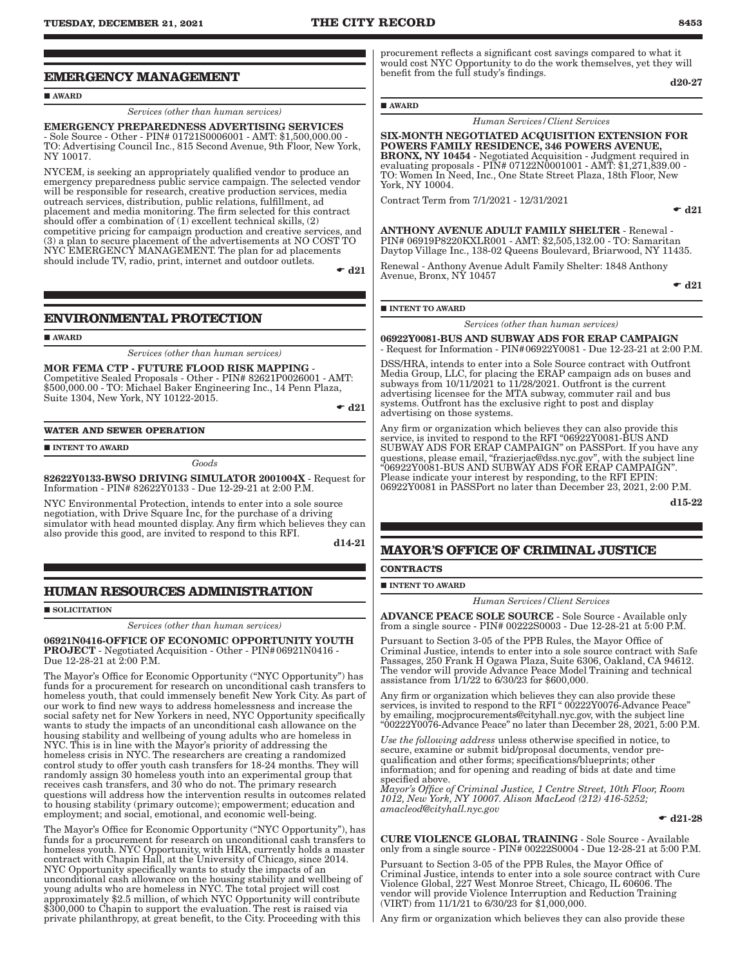### **EMERGENCY MANAGEMENT**

#### AWARD

*Services (other than human services)*

EMERGENCY PREPAREDNESS ADVERTISING SERVICES - Sole Source - Other - PIN# 01721S0006001 - AMT: \$1,500,000.00 - TO: Advertising Council Inc., 815 Second Avenue, 9th Floor, New York, NY 10017.

NYCEM, is seeking an appropriately qualified vendor to produce an emergency preparedness public service campaign. The selected vendor will be responsible for research, creative production services, media outreach services, distribution, public relations, fulfillment, ad placement and media monitoring. The firm selected for this contract should offer a combination of (1) excellent technical skills, (2) competitive pricing for campaign production and creative services, and (3) a plan to secure placement of the advertisements at NO COST TO NYC EMERGENCY MANAGEMENT. The plan for ad placements should include TV, radio, print, internet and outdoor outlets.

 $\bullet$  d21

### **ENVIRONMENTAL PROTECTION**

**AWARD** 

*Services (other than human services)*

MOR FEMA CTP - FUTURE FLOOD RISK MAPPING - Competitive Sealed Proposals - Other - PIN# 82621P0026001 - AMT: \$500,000.00 - TO: Michael Baker Engineering Inc., 14 Penn Plaza, Suite 1304, New York, NY 10122-2015.

 $\bullet$  d21

#### **WATER AND SEWER OPERATION**

**INTENT TO AWARD** 

*Goods*

82622Y0133-BWSO DRIVING SIMULATOR 2001004X - Request for Information - PIN# 82622Y0133 - Due 12-29-21 at 2:00 P.M.

NYC Environmental Protection, intends to enter into a sole source negotiation, with Drive Square Inc, for the purchase of a driving simulator with head mounted display. Any firm which believes they can also provide this good, are invited to respond to this RFI.

d14-21

### **HUMAN RESOURCES ADMINISTRATION**

**SOLICITATION** 

*Services (other than human services)*

#### 06921N0416-OFFICE OF ECONOMIC OPPORTUNITY YOUTH PROJECT - Negotiated Acquisition - Other - PIN#06921N0416 - Due 12-28-21 at 2:00 P.M.

The Mayor's Office for Economic Opportunity ("NYC Opportunity") has funds for a procurement for research on unconditional cash transfers to homeless youth, that could immensely benefit New York City. As part of our work to find new ways to address homelessness and increase the social safety net for New Yorkers in need, NYC Opportunity specifically wants to study the impacts of an unconditional cash allowance on the housing stability and wellbeing of young adults who are homeless in NYC. This is in line with the Mayor's priority of addressing the homeless crisis in NYC. The researchers are creating a randomized control study to offer youth cash transfers for 18-24 months. They will randomly assign 30 homeless youth into an experimental group that receives cash transfers, and 30 who do not. The primary research questions will address how the intervention results in outcomes related to housing stability (primary outcome); empowerment; education and employment; and social, emotional, and economic well-being.

The Mayor's Office for Economic Opportunity ("NYC Opportunity"), has funds for a procurement for research on unconditional cash transfers to homeless youth. NYC Opportunity, with HRA, currently holds a master contract with Chapin Hall, at the University of Chicago, since 2014. NYC Opportunity specifically wants to study the impacts of an unconditional cash allowance on the housing stability and wellbeing of young adults who are homeless in NYC. The total project will cost approximately \$2.5 million, of which NYC Opportunity will contribute \$300,000 to Chapin to support the evaluation. The rest is raised via private philanthropy, at great benefit, to the City. Proceeding with this

procurement reflects a significant cost savings compared to what it would cost NYC Opportunity to do the work themselves, yet they will benefit from the full study's findings. d20-27

AWARD

*Human Services/Client Services*

SIX-MONTH NEGOTIATED ACQUISITION EXTENSION FOR POWERS FAMILY RESIDENCE, 346 POWERS AVENUE, **BRONX, NY 10454** - Negotiated Acquisition - Judgment required in evaluating proposals - PIN# 07122N0001001 - AMT: \$1,271,839.00 -

TO: Women In Need, Inc., One State Street Plaza, 18th Floor, New York, NY 10004.

Contract Term from 7/1/2021 - 12/31/2021

 $\bullet$  d21

ANTHONY AVENUE ADULT FAMILY SHELTER - Renewal - PIN# 06919P8220KXLR001 - AMT: \$2,505,132.00 - TO: Samaritan Daytop Village Inc., 138-02 Queens Boulevard, Briarwood, NY 11435.

Renewal - Anthony Avenue Adult Family Shelter: 1848 Anthony Avenue, Bronx, NY 10457

 $\bullet$  d21

#### **INTENT TO AWARD**

*Services (other than human services)*

06922Y0081-BUS AND SUBWAY ADS FOR ERAP CAMPAIGN - Request for Information - PIN#06922Y0081 - Due 12-23-21 at 2:00 P.M.

DSS/HRA, intends to enter into a Sole Source contract with Outfront Media Group, LLC, for placing the ERAP campaign ads on buses and subways from 10/11/2021 to 11/28/2021. Outfront is the current advertising licensee for the MTA subway, commuter rail and bus systems. Outfront has the exclusive right to post and display advertising on those systems.

Any firm or organization which believes they can also provide this service, is invited to respond to the RFI "06922Y0081-BUS AND SUBWAY ADS FOR ERAP CAMPAIGN" on PASSPort. If you have any questions, please email, "frazierjac@dss.nyc.gov", with the subject line "06922Y0081-BUS AND SUBWAY ADS FOR ERAP CAMPAIGN". Please indicate your interest by responding, to the RFI EPIN: 06922Y0081 in PASSPort no later than December 23, 2021, 2:00 P.M.

d15-22

## **MAYOR'S OFFICE OF CRIMINAL JUSTICE**

**CONTRACTS**

**INTENT TO AWARD** 

*Human Services/Client Services*

ADVANCE PEACE SOLE SOURCE - Sole Source - Available only from a single source - PIN# 00222S0003 - Due 12-28-21 at 5:00 P.M.

Pursuant to Section 3-05 of the PPB Rules, the Mayor Office of Criminal Justice, intends to enter into a sole source contract with Safe Passages, 250 Frank H Ogawa Plaza, Suite 6306, Oakland, CA 94612. The vendor will provide Advance Peace Model Training and technical assistance from 1/1/22 to 6/30/23 for \$600,000.

Any firm or organization which believes they can also provide these services, is invited to respond to the RFI " 00222Y0076-Advance Peace" by emailing, mocjprocurements@cityhall.nyc.gov, with the subject line "00222Y0076-Advance Peace" no later than December 28, 2021, 5:00 P.M.

*Use the following address* unless otherwise specified in notice, to secure, examine or submit bid/proposal documents, vendor prequalification and other forms; specifications/blueprints; other information; and for opening and reading of bids at date and time specified above.

*Mayor's Office of Criminal Justice, 1 Centre Street, 10th Floor, Room 1012, New York, NY 10007. Alison MacLeod (212) 416-5252; amacleod@cityhall.nyc.gov*

 $\bullet$  d21-28

CURE VIOLENCE GLOBAL TRAINING - Sole Source - Available only from a single source - PIN# 00222S0004 - Due 12-28-21 at 5:00 P.M.

Pursuant to Section 3-05 of the PPB Rules, the Mayor Office of Criminal Justice, intends to enter into a sole source contract with Cure Violence Global, 227 West Monroe Street, Chicago, IL 60606. The vendor will provide Violence Interruption and Reduction Training (VIRT) from 11/1/21 to 6/30/23 for \$1,000,000.

Any firm or organization which believes they can also provide these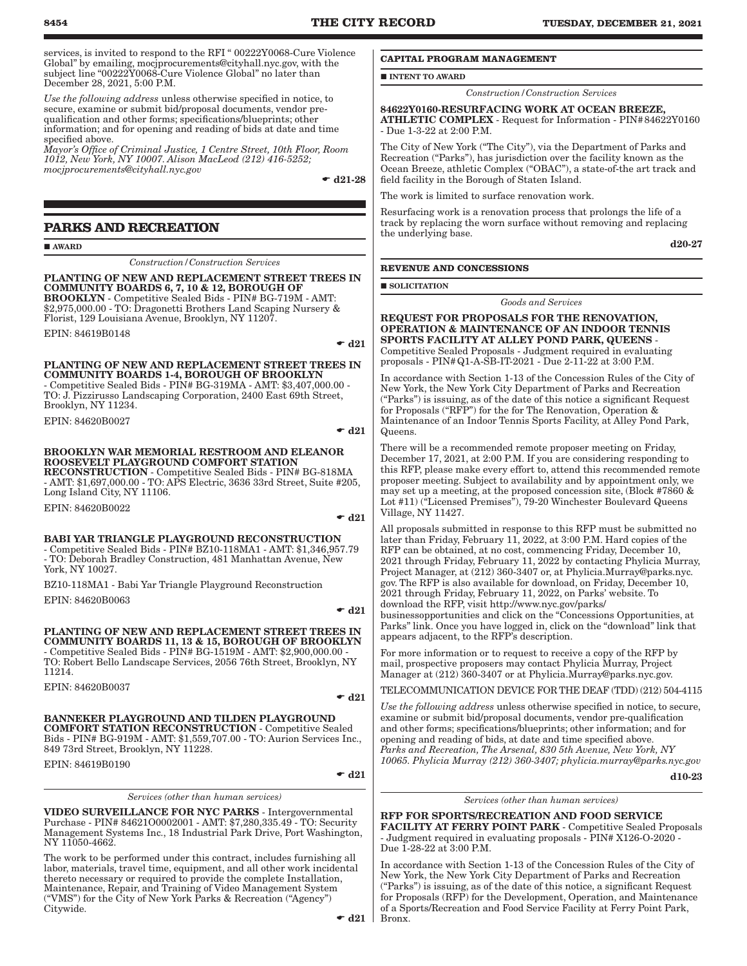services, is invited to respond to the RFI " 00222Y0068-Cure Violence Global" by emailing, mocjprocurements@cityhall.nyc.gov, with the subject line "00222Y0068-Cure Violence Global" no later than December 28, 2021, 5:00 P.M.

*Use the following address* unless otherwise specified in notice, to secure, examine or submit bid/proposal documents, vendor prequalification and other forms; specifications/blueprints; other information; and for opening and reading of bids at date and time specified above.

*Mayor's Office of Criminal Justice, 1 Centre Street, 10th Floor, Room 1012, New York, NY 10007. Alison MacLeod (212) 416-5252; mocjprocurements@cityhall.nyc.gov*

 $- d21-28$ 

### **PARKS AND RECREATION**

**AWARD** 

*Construction/Construction Services*

#### PLANTING OF NEW AND REPLACEMENT STREET TREES IN COMMUNITY BOARDS 6, 7, 10 & 12, BOROUGH OF BROOKLYN - Competitive Sealed Bids - PIN# BG-719M - AMT:

\$2,975,000.00 - TO: Dragonetti Brothers Land Scaping Nursery & Florist, 129 Louisiana Avenue, Brooklyn, NY 11207. EPIN: 84619B0148

 $\bullet$  d21

#### PLANTING OF NEW AND REPLACEMENT STREET TREES IN COMMUNITY BOARDS 1-4, BOROUGH OF BROOKLYN - Competitive Sealed Bids - PIN# BG-319MA - AMT: \$3,407,000.00 -

TO: J. Pizzirusso Landscaping Corporation, 2400 East 69th Street, Brooklyn, NY 11234.

EPIN: 84620B0027

#### $\bullet$  d21

### BROOKLYN WAR MEMORIAL RESTROOM AND ELEANOR ROOSEVELT PLAYGROUND COMFORT STATION

RECONSTRUCTION - Competitive Sealed Bids - PIN# BG-818MA - AMT: \$1,697,000.00 - TO: APS Electric, 3636 33rd Street, Suite #205, Long Island City, NY 11106.

EPIN: 84620B0022

#### $\bullet$  d21

#### BABI YAR TRIANGLE PLAYGROUND RECONSTRUCTION

- Competitive Sealed Bids - PIN# BZ10-118MA1 - AMT: \$1,346,957.79 - TO: Deborah Bradley Construction, 481 Manhattan Avenue, New York, NY 10027.

BZ10-118MA1 - Babi Yar Triangle Playground Reconstruction EPIN: 84620B0063

 $\blacktriangleright$  d21

#### PLANTING OF NEW AND REPLACEMENT STREET TREES IN COMMUNITY BOARDS 11, 13 & 15, BOROUGH OF BROOKLYN - Competitive Sealed Bids - PIN# BG-1519M - AMT: \$2,900,000.00 - TO: Robert Bello Landscape Services, 2056 76th Street, Brooklyn, NY 11214.

EPIN: 84620B0037

 $- d21$ 

#### BANNEKER PLAYGROUND AND TILDEN PLAYGROUND COMFORT STATION RECONSTRUCTION - Competitive Sealed Bids - PIN# BG-919M - AMT: \$1,559,707.00 - TO: Aurion Services Inc.,

849 73rd Street, Brooklyn, NY 11228.

EPIN: 84619B0190

#### $\div$  d21

*Services (other than human services)*

VIDEO SURVEILLANCE FOR NYC PARKS - Intergovernmental Purchase - PIN# 84621O0002001 - AMT: \$7,280,335.49 - TO: Security Management Systems Inc., 18 Industrial Park Drive, Port Washington, NY 11050-4662.

The work to be performed under this contract, includes furnishing all labor, materials, travel time, equipment, and all other work incidental thereto necessary or required to provide the complete Installation, Maintenance, Repair, and Training of Video Management System ("VMS") for the City of New York Parks & Recreation ("Agency") Citywide.

 $\blacksquare$ INTENT TO AWARD

*Construction/Construction Services*

84622Y0160-RESURFACING WORK AT OCEAN BREEZE, ATHLETIC COMPLEX - Request for Information - PIN#84622Y0160 - Due 1-3-22 at 2:00 P.M.

The City of New York ("The City"), via the Department of Parks and Recreation ("Parks"), has jurisdiction over the facility known as the Ocean Breeze, athletic Complex ("OBAC"), a state-of-the art track and field facility in the Borough of Staten Island.

The work is limited to surface renovation work.

Resurfacing work is a renovation process that prolongs the life of a track by replacing the worn surface without removing and replacing the underlying base.

d20-27

#### **REVENUE AND CONCESSIONS**

**SOLICITATION** 

*Goods and Services*

REQUEST FOR PROPOSALS FOR THE RENOVATION, OPERATION & MAINTENANCE OF AN INDOOR TENNIS SPORTS FACILITY AT ALLEY POND PARK, QUEENS - Competitive Sealed Proposals - Judgment required in evaluating proposals - PIN#Q1-A-SB-IT-2021 - Due 2-11-22 at 3:00 P.M.

In accordance with Section 1-13 of the Concession Rules of the City of New York, the New York City Department of Parks and Recreation ("Parks") is issuing, as of the date of this notice a significant Request for Proposals ("RFP") for the for The Renovation, Operation & Maintenance of an Indoor Tennis Sports Facility, at Alley Pond Park, Queens.

There will be a recommended remote proposer meeting on Friday, December 17, 2021, at 2:00 P.M. If you are considering responding to this RFP, please make every effort to, attend this recommended remote proposer meeting. Subject to availability and by appointment only, we may set up a meeting, at the proposed concession site, (Block #7860 & Lot #11) ("Licensed Premises"), 79-20 Winchester Boulevard Queens Village, NY 11427.

All proposals submitted in response to this RFP must be submitted no later than Friday, February 11, 2022, at 3:00 P.M. Hard copies of the RFP can be obtained, at no cost, commencing Friday, December 10, 2021 through Friday, February 11, 2022 by contacting Phylicia Murray, Project Manager, at (212) 360-3407 or, at Phylicia.Murray@parks.nyc. gov. The RFP is also available for download, on Friday, December 10, 2021 through Friday, February 11, 2022, on Parks' website. To download the RFP, visit http://www.nyc.gov/parks/

businessopportunities and click on the "Concessions Opportunities, at Parks" link. Once you have logged in, click on the "download" link that appears adjacent, to the RFP's description.

For more information or to request to receive a copy of the RFP by mail, prospective proposers may contact Phylicia Murray, Project Manager at (212) 360-3407 or at Phylicia.Murray@parks.nyc.gov.

TELECOMMUNICATION DEVICE FOR THE DEAF (TDD) (212) 504-4115

*Use the following address* unless otherwise specified in notice, to secure, examine or submit bid/proposal documents, vendor pre-qualification and other forms; specifications/blueprints; other information; and for opening and reading of bids, at date and time specified above. *Parks and Recreation, The Arsenal, 830 5th Avenue, New York, NY 10065. Phylicia Murray (212) 360-3407; phylicia.murray@parks.nyc.gov*

d10-23

#### *Services (other than human services)*

RFP FOR SPORTS/RECREATION AND FOOD SERVICE FACILITY AT FERRY POINT PARK - Competitive Sealed Proposals - Judgment required in evaluating proposals - PIN# X126-O-2020 - Due 1-28-22 at 3:00 P.M.

In accordance with Section 1-13 of the Concession Rules of the City of New York, the New York City Department of Parks and Recreation ("Parks") is issuing, as of the date of this notice, a significant Request for Proposals (RFP) for the Development, Operation, and Maintenance of a Sports/Recreation and Food Service Facility at Ferry Point Park,

 $\bullet$  d21 | Bronx.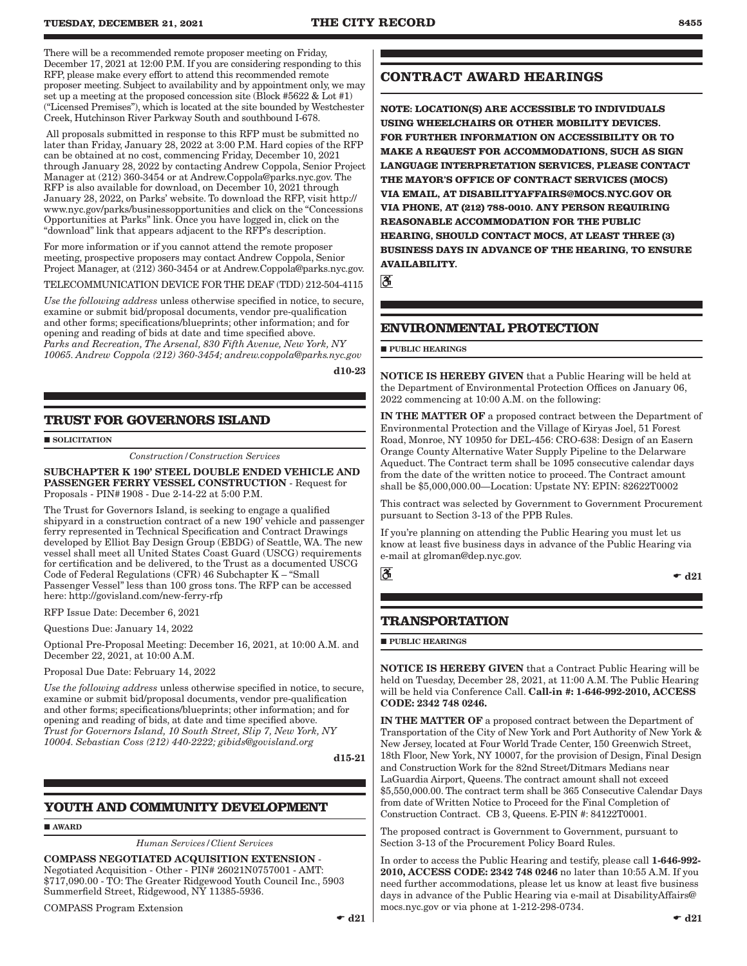There will be a recommended remote proposer meeting on Friday, December 17, 2021 at 12:00 P.M. If you are considering responding to this RFP, please make every effort to attend this recommended remote proposer meeting. Subject to availability and by appointment only, we may set up a meeting at the proposed concession site (Block #5622 & Lot #1) ("Licensed Premises"), which is located at the site bounded by Westchester Creek, Hutchinson River Parkway South and southbound I-678.

 All proposals submitted in response to this RFP must be submitted no later than Friday, January 28, 2022 at 3:00 P.M. Hard copies of the RFP can be obtained at no cost, commencing Friday, December 10, 2021 through January 28, 2022 by contacting Andrew Coppola, Senior Project Manager at (212) 360-3454 or at Andrew.Coppola@parks.nyc.gov. The RFP is also available for download, on December 10, 2021 through January 28, 2022, on Parks' website. To download the RFP, visit http:// www.nyc.gov/parks/businessopportunities and click on the "Concessions Opportunities at Parks" link. Once you have logged in, click on the "download" link that appears adjacent to the RFP's description.

For more information or if you cannot attend the remote proposer meeting, prospective proposers may contact Andrew Coppola, Senior Project Manager, at (212) 360-3454 or at Andrew.Coppola@parks.nyc.gov.

TELECOMMUNICATION DEVICE FOR THE DEAF (TDD) 212-504-4115

*Use the following address* unless otherwise specified in notice, to secure, examine or submit bid/proposal documents, vendor pre-qualification and other forms; specifications/blueprints; other information; and for opening and reading of bids at date and time specified above. *Parks and Recreation, The Arsenal, 830 Fifth Avenue, New York, NY 10065. Andrew Coppola (212) 360-3454; andrew.coppola@parks.nyc.gov*

d10-23

### **TRUST FOR GOVERNORS ISLAND**

**SOLICITATION** 

*Construction/Construction Services*

SUBCHAPTER K 190' STEEL DOUBLE ENDED VEHICLE AND PASSENGER FERRY VESSEL CONSTRUCTION - Request for Proposals - PIN#1908 - Due 2-14-22 at 5:00 P.M.

The Trust for Governors Island, is seeking to engage a qualified shipyard in a construction contract of a new 190' vehicle and passenger ferry represented in Technical Specification and Contract Drawings developed by Elliot Bay Design Group (EBDG) of Seattle, WA. The new vessel shall meet all United States Coast Guard (USCG) requirements for certification and be delivered, to the Trust as a documented USCG Code of Federal Regulations (CFR) 46 Subchapter K – "Small Passenger Vessel" less than 100 gross tons. The RFP can be accessed here: http://govisland.com/new-ferry-rfp

RFP Issue Date: December 6, 2021

Questions Due: January 14, 2022

Optional Pre-Proposal Meeting: December 16, 2021, at 10:00 A.M. and December 22, 2021, at 10:00 A.M.

Proposal Due Date: February 14, 2022

*Use the following address* unless otherwise specified in notice, to secure, examine or submit bid/proposal documents, vendor pre-qualification and other forms; specifications/blueprints; other information; and for opening and reading of bids, at date and time specified above. *Trust for Governors Island, 10 South Street, Slip 7, New York, NY 10004. Sebastian Coss (212) 440-2222; gibids@govisland.org*

d15-21

### **YOUTH AND COMMUNITY DEVELOPMENT**

**AWARD** 

*Human Services/Client Services*

## COMPASS NEGOTIATED ACQUISITION EXTENSION - Negotiated Acquisition - Other - PIN# 26021N0757001 - AMT:

\$717,090.00 - TO: The Greater Ridgewood Youth Council Inc., 5903 Summerfield Street, Ridgewood, NY 11385-5936.

COMPASS Program Extension

### **CONTRACT AWARD HEARINGS**

**NOTE: LOCATION(S) ARE ACCESSIBLE TO INDIVIDUALS USING WHEELCHAIRS OR OTHER MOBILITY DEVICES. FOR FURTHER INFORMATION ON ACCESSIBILITY OR TO MAKE A REQUEST FOR ACCOMMODATIONS, SUCH AS SIGN LANGUAGE INTERPRETATION SERVICES, PLEASE CONTACT THE MAYOR'S OFFICE OF CONTRACT SERVICES (MOCS) VIA EMAIL, AT DISABILITYAFFAIRS@MOCS.NYC.GOV OR VIA PHONE, AT (212) 788-0010. ANY PERSON REQUIRING REASONABLE ACCOMMODATION FOR THE PUBLIC HEARING, SHOULD CONTACT MOCS, AT LEAST THREE (3) BUSINESS DAYS IN ADVANCE OF THE HEARING, TO ENSURE AVAILABILITY.**

ී

### **ENVIRONMENTAL PROTECTION**

#### **PUBLIC HEARINGS**

NOTICE IS HEREBY GIVEN that a Public Hearing will be held at the Department of Environmental Protection Offices on January 06, 2022 commencing at 10:00 A.M. on the following:

IN THE MATTER OF a proposed contract between the Department of Environmental Protection and the Village of Kiryas Joel, 51 Forest Road, Monroe, NY 10950 for DEL-456: CRO-638: Design of an Easern Orange County Alternative Water Supply Pipeline to the Delarware Aqueduct. The Contract term shall be 1095 consecutive calendar days from the date of the written notice to proceed. The Contract amount shall be \$5,000,000.00—Location: Upstate NY: EPIN: 82622T0002

This contract was selected by Government to Government Procurement pursuant to Section 3-13 of the PPB Rules.

If you're planning on attending the Public Hearing you must let us know at least five business days in advance of the Public Hearing via e-mail at glroman@dep.nyc.gov.

ð

#### $\bullet$  d21

### **TRANSPORTATION**

**PUBLIC HEARINGS** 

NOTICE IS HEREBY GIVEN that a Contract Public Hearing will be held on Tuesday, December 28, 2021, at 11:00 A.M. The Public Hearing will be held via Conference Call. Call-in #: 1-646-992-2010, ACCESS CODE: 2342 748 0246.

IN THE MATTER OF a proposed contract between the Department of Transportation of the City of New York and Port Authority of New York & New Jersey, located at Four World Trade Center, 150 Greenwich Street, 18th Floor, New York, NY 10007, for the provision of Design, Final Design and Construction Work for the 82nd Street/Ditmars Medians near LaGuardia Airport, Queens. The contract amount shall not exceed \$5,550,000.00. The contract term shall be 365 Consecutive Calendar Days from date of Written Notice to Proceed for the Final Completion of Construction Contract. CB 3, Queens. E-PIN #: 84122T0001.

The proposed contract is Government to Government, pursuant to Section 3-13 of the Procurement Policy Board Rules.

In order to access the Public Hearing and testify, please call 1-646-992- 2010, ACCESS CODE: 2342 748 0246 no later than 10:55 A.M. If you need further accommodations, please let us know at least five business days in advance of the Public Hearing via e-mail at DisabilityAffairs@ mocs.nyc.gov or via phone at 1-212-298-0734.  $\bullet$  d21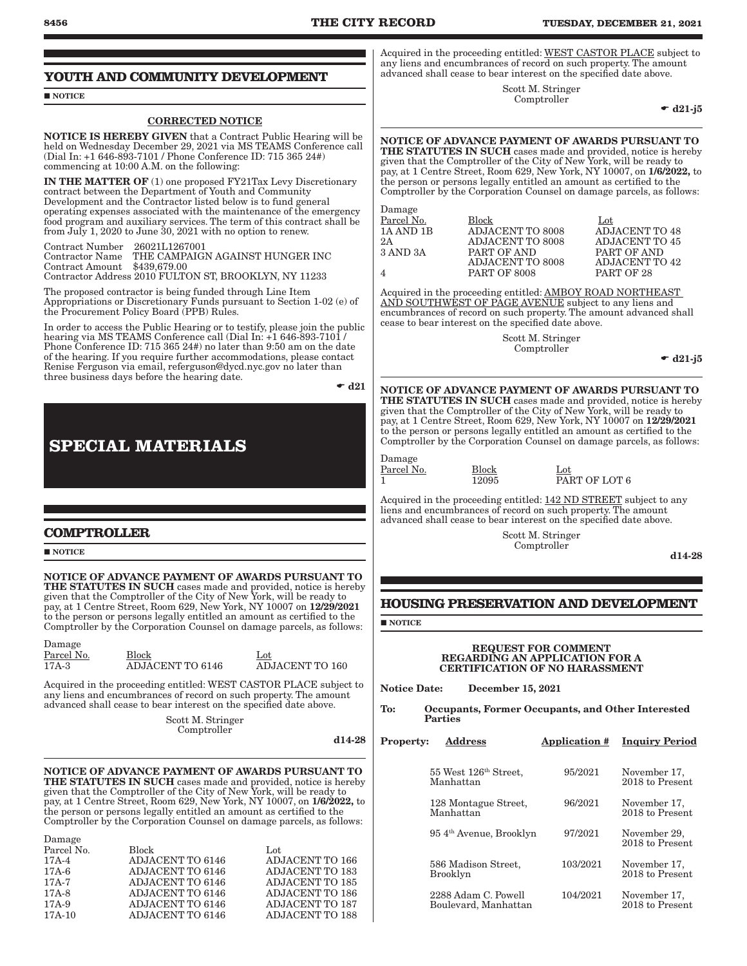#### **YOUTH AND COMMUNITY DEVELOPMENT**

#### NOTICE

#### CORRECTED NOTICE

NOTICE IS HEREBY GIVEN that a Contract Public Hearing will be held on Wednesday December 29, 2021 via MS TEAMS Conference call (Dial In: +1 646-893-7101 / Phone Conference ID: 715 365 24#) commencing at 10:00 A.M. on the following:

IN THE MATTER OF (1) one proposed FY21Tax Levy Discretionary contract between the Department of Youth and Community Development and the Contractor listed below is to fund general operating expenses associated with the maintenance of the emergency food program and auxiliary services. The term of this contract shall be from July 1, 2020 to June 30, 2021 with no option to renew.

Contract Number 26021L1267001 THE CAMPAIGN AGAINST HUNGER INC<br>\$439,679.00 Contract Amount Contractor Address 2010 FULTON ST, BROOKLYN, NY 11233

The proposed contractor is being funded through Line Item Appropriations or Discretionary Funds pursuant to Section 1-02 (e) of the Procurement Policy Board (PPB) Rules.

In order to access the Public Hearing or to testify, please join the public hearing via MS TEAMS Conference call (Dial In: +1 646-893-7101 / Phone Conference ID: 715 365 24#) no later than 9:50 am on the date of the hearing. If you require further accommodations, please contact Renise Ferguson via email, referguson@dycd.nyc.gov no later than three business days before the hearing date.

 $\bullet$  d21

d14-28

## **SPECIAL MATERIALS**

### **COMPTROLLER**

#### **NOTICE**

Damage

NOTICE OF ADVANCE PAYMENT OF AWARDS PURSUANT TO THE STATUTES IN SUCH cases made and provided, notice is hereby given that the Comptroller of the City of New York, will be ready to

pay, at 1 Centre Street, Room 629, New York, NY 10007 on 12/29/2021 to the person or persons legally entitled an amount as certified to the Comptroller by the Corporation Counsel on damage parcels, as follows:

| Damage                |                                  |                                        |
|-----------------------|----------------------------------|----------------------------------------|
| Parcel No.<br>$17A-3$ | <b>Block</b><br>ADJACENT TO 6146 | $_{\rm Lot}$<br><b>ADJACENT TO 160</b> |
|                       |                                  |                                        |

Acquired in the proceeding entitled: WEST CASTOR PLACE subject to any liens and encumbrances of record on such property. The amount advanced shall cease to bear interest on the specified date above.

> Scott M. Stringer Comptroller

NOTICE OF ADVANCE PAYMENT OF AWARDS PURSUANT TO THE STATUTES IN SUCH cases made and provided, notice is hereby given that the Comptroller of the City of New York, will be ready to pay, at 1 Centre Street, Room 629, New York, NY 10007, on 1/6/2022, to the person or persons legally entitled an amount as certified to the Comptroller by the Corporation Counsel on damage parcels, as follows:

| Parcel No. | <b>Block</b>            | Lot                    |
|------------|-------------------------|------------------------|
| $17A-4$    | ADJACENT TO 6146        | ADJACENT TO 166        |
| $17A-6$    | <b>ADJACENT TO 6146</b> | ADJACENT TO 183        |
| $17A-7$    | ADJACENT TO 6146        | <b>ADJACENT TO 185</b> |
| $17A-8$    | ADJACENT TO 6146        | ADJACENT TO 186        |
| $17A-9$    | ADJACENT TO 6146        | <b>ADJACENT TO 187</b> |
| $17A-10$   | ADJACENT TO 6146        | <b>ADJACENT TO 188</b> |
|            |                         |                        |

Acquired in the proceeding entitled: WEST CASTOR PLACE subject to any liens and encumbrances of record on such property. The amount advanced shall cease to bear interest on the specified date above.

> Scott M. Stringer Comptroller

 $\bullet$  d21-j5

NOTICE OF ADVANCE PAYMENT OF AWARDS PURSUANT TO THE STATUTES IN SUCH cases made and provided, notice is hereby given that the Comptroller of the City of New York, will be ready to pay, at 1 Centre Street, Room 629, New York, NY 10007, on 1/6/2022, to the person or persons legally entitled an amount as certified to the Comptroller by the Corporation Counsel on damage parcels, as follows:

Damage

Parcel No. Block Lot Lot Lot Lot ADJACENT TO 8008 ADJACENT TO 48 1A AND 1B ADJACENT TO 8008 ADJACENT TO 48<br>2A ADJACENT TO 8008 ADJACENT TO 45 2A ADJACENT TO 8008<br>3 AND 3A PART OF AND PART OF AND ADJACENT TO 8008 PART OF AND ADJACENT TO 42 4 PART OF 8008 PART OF 28

Acquired in the proceeding entitled: AMBOY ROAD NORTHEAST AND SOUTHWEST OF PAGE AVENUE subject to any liens and encumbrances of record on such property. The amount advanced shall cease to bear interest on the specified date above.

> Scott M. Stringer Comptroller

 $\bullet$  d21-j5

NOTICE OF ADVANCE PAYMENT OF AWARDS PURSUANT TO THE STATUTES IN SUCH cases made and provided, notice is hereby given that the Comptroller of the City of New York, will be ready to pay, at 1 Centre Street, Room 629, New York, NY 10007 on 12/29/2021 to the person or persons legally entitled an amount as certified to the Comptroller by the Corporation Counsel on damage parcels, as follows:

Damage

Parcel No. Block Lot

 $\overline{12095}$  PART OF LOT 6

Acquired in the proceeding entitled: 142 ND STREET subject to any liens and encumbrances of record on such property. The amount advanced shall cease to bear interest on the specified date above.

> Scott M. Stringer Comptroller

d14-28

### **HOUSING PRESERVATION AND DEVELOPMENT**

**NOTICE** 

#### REQUEST FOR COMMENT REGARDING AN APPLICATION FOR A CERTIFICATION OF NO HARASSMENT

Notice Date: December 15, 2021

To: Occupants, Former Occupants, and Other Interested Parties

| <b>Property:</b> | Address                                        | <b>Application #</b> | <b>Inquiry Period</b>           |
|------------------|------------------------------------------------|----------------------|---------------------------------|
|                  | 55 West 126 <sup>th</sup> Street,<br>Manhattan | 95/2021              | November 17,<br>2018 to Present |
|                  | 128 Montague Street,<br>Manhattan              | 96/2021              | November 17,<br>2018 to Present |
|                  | 954 <sup>th</sup> Avenue, Brooklyn             | 97/2021              | November 29,<br>2018 to Present |
|                  | 586 Madison Street.<br>Brooklyn                | 103/2021             | November 17,<br>2018 to Present |
|                  | 2288 Adam C. Powell<br>Boulevard, Manhattan    | 104/2021             | November 17,<br>2018 to Present |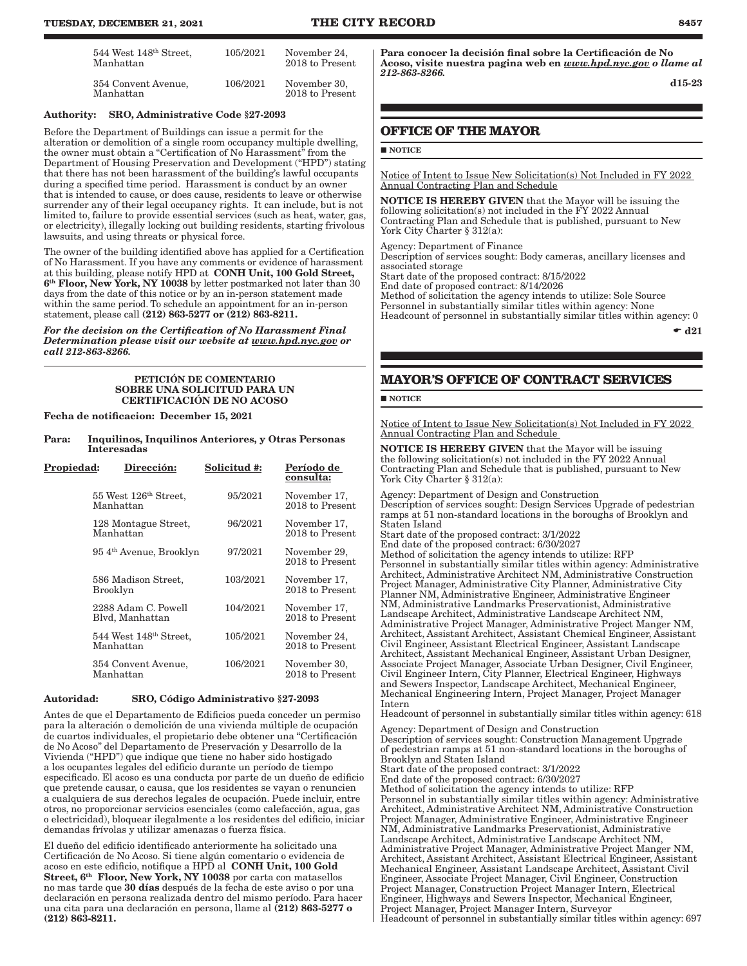| 544 West 148 <sup>th</sup> Street,<br>Manhattan | 105/2021 | November 24,<br>2018 to Present |
|-------------------------------------------------|----------|---------------------------------|
| 354 Convent Avenue,<br>Manhattan                | 106/2021 | November 30,<br>2018 to Present |

#### Authority: SRO, Administrative Code §27-2093

Before the Department of Buildings can issue a permit for the alteration or demolition of a single room occupancy multiple dwelling, the owner must obtain a "Certification of No Harassment" from the Department of Housing Preservation and Development ("HPD") stating that there has not been harassment of the building's lawful occupants during a specified time period. Harassment is conduct by an owner that is intended to cause, or does cause, residents to leave or otherwise surrender any of their legal occupancy rights. It can include, but is not limited to, failure to provide essential services (such as heat, water, gas, or electricity), illegally locking out building residents, starting frivolous lawsuits, and using threats or physical force.

The owner of the building identified above has applied for a Certification of No Harassment. If you have any comments or evidence of harassment at this building, please notify HPD at CONH Unit, 100 Gold Street, 6th Floor, New York, NY 10038 by letter postmarked not later than 30 days from the date of this notice or by an in-person statement made within the same period. To schedule an appointment for an in-person statement, please call (212) 863-5277 or (212) 863-8211.

*For the decision on the Certification of No Harassment Final Determination please visit our website at www.hpd.nyc.gov or call 212-863-8266.*

#### PETICIÓN DE COMENTARIO SOBRE UNA SOLICITUD PARA UN CERTIFICACIÓN DE NO ACOSO

Fecha de notificacion: December 15, 2021

Para: Inquilinos, Inquilinos Anteriores, y Otras Personas Interesadas

| Propiedad: | Dirección:                                      | Solicitud #: | Período de<br>consulta:         |
|------------|-------------------------------------------------|--------------|---------------------------------|
|            | 55 West 126 <sup>th</sup> Street,<br>Manhattan  | 95/2021      | November 17,<br>2018 to Present |
|            | 128 Montague Street,<br>Manhattan               | 96/2021      | November 17,<br>2018 to Present |
|            | 954 <sup>th</sup> Avenue, Brooklyn              | 97/2021      | November 29,<br>2018 to Present |
|            | 586 Madison Street.<br>Brooklyn                 | 103/2021     | November 17,<br>2018 to Present |
|            | 2288 Adam C. Powell<br>Blyd, Manhattan          | 104/2021     | November 17,<br>2018 to Present |
|            | 544 West 148 <sup>th</sup> Street,<br>Manhattan | 105/2021     | November 24,<br>2018 to Present |
|            | 354 Convent Avenue,<br>Manhattan                | 106/2021     | November 30,<br>2018 to Present |

#### Autoridad: SRO, Código Administrativo §27-2093

Antes de que el Departamento de Edificios pueda conceder un permiso para la alteración o demolición de una vivienda múltiple de ocupación de cuartos individuales, el propietario debe obtener una "Certificación de No Acoso" del Departamento de Preservación y Desarrollo de la Vivienda ("HPD") que indique que tiene no haber sido hostigado a los ocupantes legales del edificio durante un período de tiempo especificado. El acoso es una conducta por parte de un dueño de edificio que pretende causar, o causa, que los residentes se vayan o renuncien a cualquiera de sus derechos legales de ocupación. Puede incluir, entre otros, no proporcionar servicios esenciales (como calefacción, agua, gas o electricidad), bloquear ilegalmente a los residentes del edificio, iniciar demandas frívolas y utilizar amenazas o fuerza física.

El dueño del edificio identificado anteriormente ha solicitado una Certificación de No Acoso. Si tiene algún comentario o evidencia de acoso en este edificio, notifique a HPD al CONH Unit, 100 Gold Street, 6<sup>th</sup> Floor, New York, NY 10038 por carta con matasellos no mas tarde que 30 días después de la fecha de este aviso o por una declaración en persona realizada dentro del mismo período. Para hacer una cita para una declaración en persona, llame al (212) 863-5277 o (212) 863-8211.

Para conocer la decisión final sobre la Certificación de No Acoso, visite nuestra pagina web en *www.hpd.nyc.gov o llame al 212-863-8266.*

d15-23

### **OFFICE OF THE MAYOR**

#### **NOTICE**

Notice of Intent to Issue New Solicitation(s) Not Included in FY 2022 Annual Contracting Plan and Schedule

NOTICE IS HEREBY GIVEN that the Mayor will be issuing the following solicitation(s) not included in the FY 2022 Annual Contracting Plan and Schedule that is published, pursuant to New York City Charter § 312(a):

Agency: Department of Finance

Description of services sought: Body cameras, ancillary licenses and associated storage

Start date of the proposed contract: 8/15/2022

End date of proposed contract: 8/14/2026 Method of solicitation the agency intends to utilize: Sole Source Personnel in substantially similar titles within agency: None Headcount of personnel in substantially similar titles within agency: 0

 $\bullet$  d21

### **MAYOR'S OFFICE OF CONTRACT SERVICES**

#### NOTICE

Notice of Intent to Issue New Solicitation(s) Not Included in FY 2022 Annual Contracting Plan and Schedule

NOTICE IS HEREBY GIVEN that the Mayor will be issuing the following solicitation(s) not included in the FY 2022 Annual Contracting Plan and Schedule that is published, pursuant to New York City Charter § 312(a):

Agency: Department of Design and Construction

Description of services sought: Design Services Upgrade of pedestrian ramps at 51 non-standard locations in the boroughs of Brooklyn and Staten Island

Start date of the proposed contract: 3/1/2022

End date of the proposed contract: 6/30/2027

Method of solicitation the agency intends to utilize: RFP Personnel in substantially similar titles within agency: Administrative Architect, Administrative Architect NM, Administrative Construction Project Manager, Administrative City Planner, Administrative City Planner NM, Administrative Engineer, Administrative Engineer NM, Administrative Landmarks Preservationist, Administrative Landscape Architect, Administrative Landscape Architect NM, Administrative Project Manager, Administrative Project Manger NM, Architect, Assistant Architect, Assistant Chemical Engineer, Assistant Civil Engineer, Assistant Electrical Engineer, Assistant Landscape Architect, Assistant Mechanical Engineer, Assistant Urban Designer, Associate Project Manager, Associate Urban Designer, Civil Engineer, Civil Engineer Intern, City Planner, Electrical Engineer, Highways and Sewers Inspector, Landscape Architect, Mechanical Engineer, Mechanical Engineering Intern, Project Manager, Project Manager Intern

Headcount of personnel in substantially similar titles within agency: 618

Agency: Department of Design and Construction Description of services sought: Construction Management Upgrade of pedestrian ramps at 51 non-standard locations in the boroughs of Brooklyn and Staten Island Start date of the proposed contract: 3/1/2022 End date of the proposed contract: 6/30/2027 Method of solicitation the agency intends to utilize: RFP Personnel in substantially similar titles within agency: Administrative Architect, Administrative Architect NM, Administrative Construction Project Manager, Administrative Engineer, Administrative Engineer NM, Administrative Landmarks Preservationist, Administrative Landscape Architect, Administrative Landscape Architect NM, Administrative Project Manager, Administrative Project Manger NM, Architect, Assistant Architect, Assistant Electrical Engineer, Assistant Mechanical Engineer, Assistant Landscape Architect, Assistant Civil Engineer, Associate Project Manager, Civil Engineer, Construction Project Manager, Construction Project Manager Intern, Electrical Engineer, Highways and Sewers Inspector, Mechanical Engineer, Project Manager, Project Manager Intern, Surveyor Headcount of personnel in substantially similar titles within agency: 697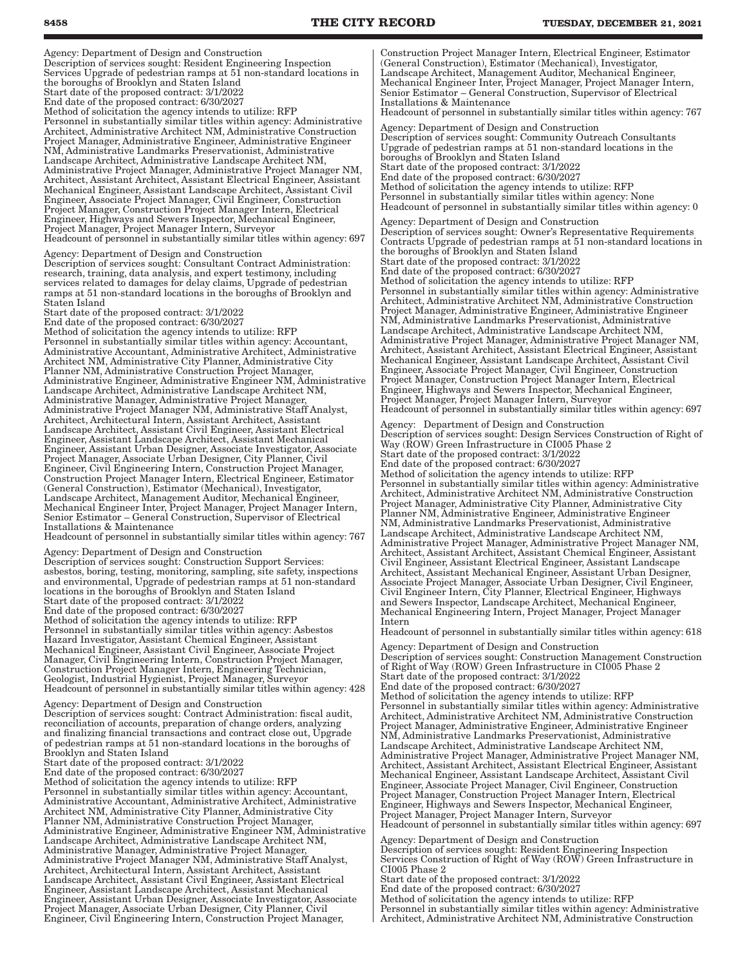Agency: Department of Design and Construction Description of services sought: Resident Engineering Inspection Services Upgrade of pedestrian ramps at 51 non-standard locations in the boroughs of Brooklyn and Staten Island Start date of the proposed contract: 3/1/2022 End date of the proposed contract: 6/30/2027 Method of solicitation the agency intends to utilize: RFP Personnel in substantially similar titles within agency: Administrative Architect, Administrative Architect NM, Administrative Construction Project Manager, Administrative Engineer, Administrative Engineer NM, Administrative Landmarks Preservationist, Administrative Landscape Architect, Administrative Landscape Architect NM, Administrative Project Manager, Administrative Project Manager NM, Architect, Assistant Architect, Assistant Electrical Engineer, Assistant Mechanical Engineer, Assistant Landscape Architect, Assistant Civil Engineer, Associate Project Manager, Civil Engineer, Construction Project Manager, Construction Project Manager Intern, Electrical Engineer, Highways and Sewers Inspector, Mechanical Engineer, Project Manager, Project Manager Intern, Surveyor Headcount of personnel in substantially similar titles within agency: 697

Agency: Department of Design and Construction Description of services sought: Consultant Contract Administration: research, training, data analysis, and expert testimony, including services related to damages for delay claims, Upgrade of pedestrian ramps at 51 non-standard locations in the boroughs of Brooklyn and Staten Island

Start date of the proposed contract: 3/1/2022 End date of the proposed contract: 6/30/2027 Method of solicitation the agency intends to utilize: RFP Personnel in substantially similar titles within agency: Accountant, Administrative Accountant, Administrative Architect, Administrative Architect NM, Administrative City Planner, Administrative City Planner NM, Administrative Construction Project Manager, Administrative Engineer, Administrative Engineer NM, Administrative Landscape Architect, Administrative Landscape Architect NM, Administrative Manager, Administrative Project Manager, Administrative Project Manager NM, Administrative Staff Analyst, Architect, Architectural Intern, Assistant Architect, Assistant Landscape Architect, Assistant Civil Engineer, Assistant Electrical Engineer, Assistant Landscape Architect, Assistant Mechanical Engineer, Assistant Urban Designer, Associate Investigator, Associate Project Manager, Associate Urban Designer, City Planner, Civil Engineer, Civil Engineering Intern, Construction Project Manager, Construction Project Manager Intern, Electrical Engineer, Estimator (General Construction), Estimator (Mechanical), Investigator, Landscape Architect, Management Auditor, Mechanical Engineer, Mechanical Engineer Inter, Project Manager, Project Manager Intern, Senior Estimator – General Construction, Supervisor of Electrical Installations & Maintenance

Headcount of personnel in substantially similar titles within agency: 767

Agency: Department of Design and Construction Description of services sought: Construction Support Services: asbestos, boring, testing, monitoring, sampling, site safety, inspections and environmental, Upgrade of pedestrian ramps at 51 non-standard locations in the boroughs of Brooklyn and Staten Island Start date of the proposed contract: 3/1/2022 End date of the proposed contract: 6/30/2027 Method of solicitation the agency intends to utilize: RFP Personnel in substantially similar titles within agency: Asbestos Hazard Investigator, Assistant Chemical Engineer, Assistant Mechanical Engineer, Assistant Civil Engineer, Associate Project Manager, Civil Engineering Intern, Construction Project Manager, Construction Project Manager Intern, Engineering Technician, Geologist, Industrial Hygienist, Project Manager, Surveyor Headcount of personnel in substantially similar titles within agency: 428

Agency: Department of Design and Construction Description of services sought: Contract Administration: fiscal audit, reconciliation of accounts, preparation of change orders, analyzing and finalizing financial transactions and contract close out, Upgrade of pedestrian ramps at 51 non-standard locations in the boroughs of Brooklyn and Staten Island

Start date of the proposed contract: 3/1/2022

End date of the proposed contract: 6/30/2027

Method of solicitation the agency intends to utilize: RFP Personnel in substantially similar titles within agency: Accountant, Administrative Accountant, Administrative Architect, Administrative Architect NM, Administrative City Planner, Administrative City Planner NM, Administrative Construction Project Manager, Administrative Engineer, Administrative Engineer NM, Administrative Landscape Architect, Administrative Landscape Architect NM, Administrative Manager, Administrative Project Manager, Administrative Project Manager NM, Administrative Staff Analyst, Architect, Architectural Intern, Assistant Architect, Assistant Landscape Architect, Assistant Civil Engineer, Assistant Electrical Engineer, Assistant Landscape Architect, Assistant Mechanical Engineer, Assistant Urban Designer, Associate Investigator, Associate Project Manager, Associate Urban Designer, City Planner, Civil Engineer, Civil Engineering Intern, Construction Project Manager,

Construction Project Manager Intern, Electrical Engineer, Estimator (General Construction), Estimator (Mechanical), Investigator, Landscape Architect, Management Auditor, Mechanical Engineer, Mechanical Engineer Inter, Project Manager, Project Manager Intern, Senior Estimator – General Construction, Supervisor of Electrical Installations & Maintenance

Headcount of personnel in substantially similar titles within agency: 767 Agency: Department of Design and Construction Description of services sought: Community Outreach Consultants

Upgrade of pedestrian ramps at 51 non-standard locations in the boroughs of Brooklyn and Staten Island Start date of the proposed contract: 3/1/2022 End date of the proposed contract: 6/30/2027 Method of solicitation the agency intends to utilize: RFP Personnel in substantially similar titles within agency: None Headcount of personnel in substantially similar titles within agency: 0

Agency: Department of Design and Construction Description of services sought: Owner's Representative Requirements Contracts Upgrade of pedestrian ramps at 51 non-standard locations in the boroughs of Brooklyn and Staten Island Start date of the proposed contract: 3/1/2022 End date of the proposed contract: 6/30/2027 Method of solicitation the agency intends to utilize: RFP Personnel in substantially similar titles within agency: Administrative Architect, Administrative Architect NM, Administrative Construction Project Manager, Administrative Engineer, Administrative Engineer NM, Administrative Landmarks Preservationist, Administrative Landscape Architect, Administrative Landscape Architect NM, Administrative Project Manager, Administrative Project Manager NM, Architect, Assistant Architect, Assistant Electrical Engineer, Assistant Mechanical Engineer, Assistant Landscape Architect, Assistant Civil Engineer, Associate Project Manager, Civil Engineer, Construction Project Manager, Construction Project Manager Intern, Electrical Engineer, Highways and Sewers Inspector, Mechanical Engineer, Project Manager, Project Manager Intern, Surveyor

Headcount of personnel in substantially similar titles within agency: 697

Agency: Department of Design and Construction Description of services sought: Design Services Construction of Right of Way (ROW) Green Infrastructure in CI005 Phase 2 Start date of the proposed contract: 3/1/2022 End date of the proposed contract: 6/30/2027 Method of solicitation the agency intends to utilize: RFP Personnel in substantially similar titles within agency: Administrative Architect, Administrative Architect NM, Administrative Construction Project Manager, Administrative City Planner, Administrative City Planner NM, Administrative Engineer, Administrative Engineer NM, Administrative Landmarks Preservationist, Administrative Landscape Architect, Administrative Landscape Architect NM, Administrative Project Manager, Administrative Project Manager NM, Architect, Assistant Architect, Assistant Chemical Engineer, Assistant Civil Engineer, Assistant Electrical Engineer, Assistant Landscape Architect, Assistant Mechanical Engineer, Assistant Urban Designer, Associate Project Manager, Associate Urban Designer, Civil Engineer, Civil Engineer Intern, City Planner, Electrical Engineer, Highways and Sewers Inspector, Landscape Architect, Mechanical Engineer, Mechanical Engineering Intern, Project Manager, Project Manager Intern

Headcount of personnel in substantially similar titles within agency: 618

Agency: Department of Design and Construction Description of services sought: Construction Management Construction of Right of Way (ROW) Green Infrastructure in CI005 Phase 2 Start date of the proposed contract: 3/1/2022 End date of the proposed contract: 6/30/2027 Method of solicitation the agency intends to utilize: RFP Personnel in substantially similar titles within agency: Administrative Architect, Administrative Architect NM, Administrative Construction Project Manager, Administrative Engineer, Administrative Engineer NM, Administrative Landmarks Preservationist, Administrative Landscape Architect, Administrative Landscape Architect NM, Administrative Project Manager, Administrative Project Manager NM, Architect, Assistant Architect, Assistant Electrical Engineer, Assistant Mechanical Engineer, Assistant Landscape Architect, Assistant Civil Engineer, Associate Project Manager, Civil Engineer, Construction Project Manager, Construction Project Manager Intern, Electrical Engineer, Highways and Sewers Inspector, Mechanical Engineer, Project Manager, Project Manager Intern, Surveyor Headcount of personnel in substantially similar titles within agency: 697

Agency: Department of Design and Construction Description of services sought: Resident Engineering Inspection Services Construction of Right of Way (ROW) Green Infrastructure in CI005 Phase 2 Start date of the proposed contract: 3/1/2022 End date of the proposed contract: 6/30/2027

Method of solicitation the agency intends to utilize: RFP

Personnel in substantially similar titles within agency: Administrative Architect, Administrative Architect NM, Administrative Construction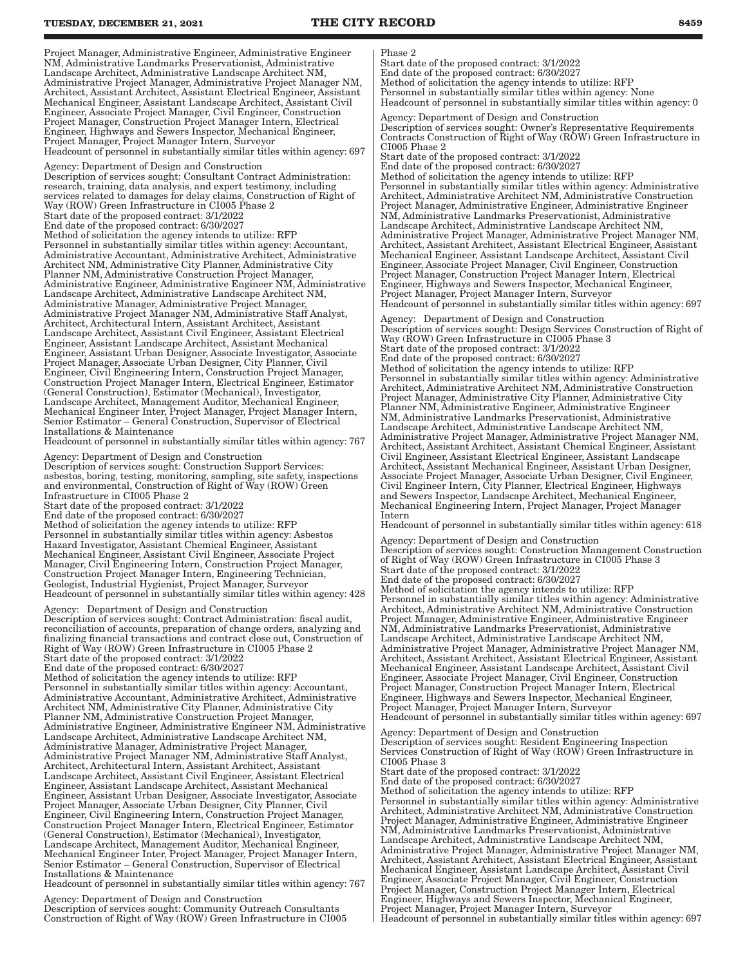Project Manager, Administrative Engineer, Administrative Engineer NM, Administrative Landmarks Preservationist, Administrative Landscape Architect, Administrative Landscape Architect NM, Administrative Project Manager, Administrative Project Manager NM, Architect, Assistant Architect, Assistant Electrical Engineer, Assistant Mechanical Engineer, Assistant Landscape Architect, Assistant Civil Engineer, Associate Project Manager, Civil Engineer, Construction Project Manager, Construction Project Manager Intern, Electrical Engineer, Highways and Sewers Inspector, Mechanical Engineer, Project Manager, Project Manager Intern, Surveyor Headcount of personnel in substantially similar titles within agency: 697

Agency: Department of Design and Construction Description of services sought: Consultant Contract Administration: research, training, data analysis, and expert testimony, including services related to damages for delay claims, Construction of Right of Way (ROW) Green Infrastructure in CI005 Phase 2 Start date of the proposed contract: 3/1/2022 End date of the proposed contract: 6/30/2027 Method of solicitation the agency intends to utilize: RFP Personnel in substantially similar titles within agency: Accountant, Administrative Accountant, Administrative Architect, Administrative Architect NM, Administrative City Planner, Administrative City Planner NM, Administrative Construction Project Manager, Administrative Engineer, Administrative Engineer NM, Administrative Landscape Architect, Administrative Landscape Architect NM, Administrative Manager, Administrative Project Manager, Administrative Project Manager NM, Administrative Staff Analyst, Architect, Architectural Intern, Assistant Architect, Assistant Landscape Architect, Assistant Civil Engineer, Assistant Electrical Engineer, Assistant Landscape Architect, Assistant Mechanical Engineer, Assistant Urban Designer, Associate Investigator, Associate Project Manager, Associate Urban Designer, City Planner, Civil Engineer, Civil Engineering Intern, Construction Project Manager, Construction Project Manager Intern, Electrical Engineer, Estimator (General Construction), Estimator (Mechanical), Investigator, Landscape Architect, Management Auditor, Mechanical Engineer, Mechanical Engineer Inter, Project Manager, Project Manager Intern, Senior Estimator – General Construction, Supervisor of Electrical Installations & Maintenance Headcount of personnel in substantially similar titles within agency: 767

Agency: Department of Design and Construction Description of services sought: Construction Support Services: asbestos, boring, testing, monitoring, sampling, site safety, inspections and environmental, Construction of Right of Way (ROW) Green Infrastructure in CI005 Phase 2 Start date of the proposed contract: 3/1/2022 End date of the proposed contract: 6/30/2027 Method of solicitation the agency intends to utilize: RFP Personnel in substantially similar titles within agency: Asbestos Hazard Investigator, Assistant Chemical Engineer, Assistant Mechanical Engineer, Assistant Civil Engineer, Associate Project Manager, Civil Engineering Intern, Construction Project Manager, Construction Project Manager Intern, Engineering Technician, Geologist, Industrial Hygienist, Project Manager, Surveyor Headcount of personnel in substantially similar titles within agency: 428

Agency: Department of Design and Construction Description of services sought: Contract Administration: fiscal audit, reconciliation of accounts, preparation of change orders, analyzing and finalizing financial transactions and contract close out, Construction of Right of Way (ROW) Green Infrastructure in CI005 Phase 2 Start date of the proposed contract: 3/1/2022 End date of the proposed contract: 6/30/2027 Method of solicitation the agency intends to utilize: RFP Personnel in substantially similar titles within agency: Accountant, Administrative Accountant, Administrative Architect, Administrative Architect NM, Administrative City Planner, Administrative City Planner NM, Administrative Construction Project Manager, Administrative Engineer, Administrative Engineer NM, Administrative Landscape Architect, Administrative Landscape Architect NM, Administrative Manager, Administrative Project Manager, Administrative Project Manager NM, Administrative Staff Analyst, Architect, Architectural Intern, Assistant Architect, Assistant Landscape Architect, Assistant Civil Engineer, Assistant Electrical Engineer, Assistant Landscape Architect, Assistant Mechanical Engineer, Assistant Urban Designer, Associate Investigator, Associate Project Manager, Associate Urban Designer, City Planner, Civil Engineer, Civil Engineering Intern, Construction Project Manager, Construction Project Manager Intern, Electrical Engineer, Estimator (General Construction), Estimator (Mechanical), Investigator, Landscape Architect, Management Auditor, Mechanical Engineer, Mechanical Engineer Inter, Project Manager, Project Manager Intern, Senior Estimator – General Construction, Supervisor of Electrical Installations & Maintenance

Headcount of personnel in substantially similar titles within agency: 767

Agency: Department of Design and Construction Description of services sought: Community Outreach Consultants Construction of Right of Way (ROW) Green Infrastructure in CI005

#### Phase 2

Start date of the proposed contract: 3/1/2022

End date of the proposed contract: 6/30/2027

Method of solicitation the agency intends to utilize: RFP

Personnel in substantially similar titles within agency: None Headcount of personnel in substantially similar titles within agency: 0

Agency: Department of Design and Construction Description of services sought: Owner's Representative Requirements Contracts Construction of Right of Way (ROW) Green Infrastructure in CI005 Phase 2

Start date of the proposed contract: 3/1/2022 End date of the proposed contract: 6/30/2027 Method of solicitation the agency intends to utilize: RFP Personnel in substantially similar titles within agency: Administrative Architect, Administrative Architect NM, Administrative Construction Project Manager, Administrative Engineer, Administrative Engineer NM, Administrative Landmarks Preservationist, Administrative Landscape Architect, Administrative Landscape Architect NM, Administrative Project Manager, Administrative Project Manager NM, Architect, Assistant Architect, Assistant Electrical Engineer, Assistant Mechanical Engineer, Assistant Landscape Architect, Assistant Civil Engineer, Associate Project Manager, Civil Engineer, Construction Project Manager, Construction Project Manager Intern, Electrical Engineer, Highways and Sewers Inspector, Mechanical Engineer, Project Manager, Project Manager Intern, Surveyor Headcount of personnel in substantially similar titles within agency: 697

Agency: Department of Design and Construction Description of services sought: Design Services Construction of Right of Way (ROW) Green Infrastructure in CI005 Phase 3 Start date of the proposed contract: 3/1/2022 End date of the proposed contract: 6/30/2027 Method of solicitation the agency intends to utilize: RFP Personnel in substantially similar titles within agency: Administrative Architect, Administrative Architect NM, Administrative Construction Project Manager, Administrative City Planner, Administrative City Planner NM, Administrative Engineer, Administrative Engineer NM, Administrative Landmarks Preservationist, Administrative Landscape Architect, Administrative Landscape Architect NM, Administrative Project Manager, Administrative Project Manager NM, Architect, Assistant Architect, Assistant Chemical Engineer, Assistant Civil Engineer, Assistant Electrical Engineer, Assistant Landscape Architect, Assistant Mechanical Engineer, Assistant Urban Designer, Associate Project Manager, Associate Urban Designer, Civil Engineer, Civil Engineer Intern, City Planner, Electrical Engineer, Highways and Sewers Inspector, Landscape Architect, Mechanical Engineer, Mechanical Engineering Intern, Project Manager, Project Manager Intern

Headcount of personnel in substantially similar titles within agency: 618

Agency: Department of Design and Construction Description of services sought: Construction Management Construction of Right of Way (ROW) Green Infrastructure in CI005 Phase 3 Start date of the proposed contract: 3/1/2022 End date of the proposed contract: 6/30/2027 Method of solicitation the agency intends to utilize: RFP Personnel in substantially similar titles within agency: Administrative Architect, Administrative Architect NM, Administrative Construction Project Manager, Administrative Engineer, Administrative Engineer NM, Administrative Landmarks Preservationist, Administrative Landscape Architect, Administrative Landscape Architect NM, Administrative Project Manager, Administrative Project Manager NM, Architect, Assistant Architect, Assistant Electrical Engineer, Assistant Mechanical Engineer, Assistant Landscape Architect, Assistant Civil Engineer, Associate Project Manager, Civil Engineer, Construction

Project Manager, Construction Project Manager Intern, Electrical Engineer, Highways and Sewers Inspector, Mechanical Engineer, Project Manager, Project Manager Intern, Surveyor Headcount of personnel in substantially similar titles within agency: 697

Agency: Department of Design and Construction Description of services sought: Resident Engineering Inspection Services Construction of Right of Way (ROW) Green Infrastructure in CI005 Phase 3 Start date of the proposed contract: 3/1/2022 End date of the proposed contract: 6/30/2027 Method of solicitation the agency intends to utilize: RFP Personnel in substantially similar titles within agency: Administrative Architect, Administrative Architect NM, Administrative Construction Project Manager, Administrative Engineer, Administrative Engineer NM, Administrative Landmarks Preservationist, Administrative Landscape Architect, Administrative Landscape Architect NM, Administrative Project Manager, Administrative Project Manager NM, Architect, Assistant Architect, Assistant Electrical Engineer, Assistant Mechanical Engineer, Assistant Landscape Architect, Assistant Civil Engineer, Associate Project Manager, Civil Engineer, Construction Project Manager, Construction Project Manager Intern, Electrical Engineer, Highways and Sewers Inspector, Mechanical Engineer, Project Manager, Project Manager Intern, Surveyor Headcount of personnel in substantially similar titles within agency: 697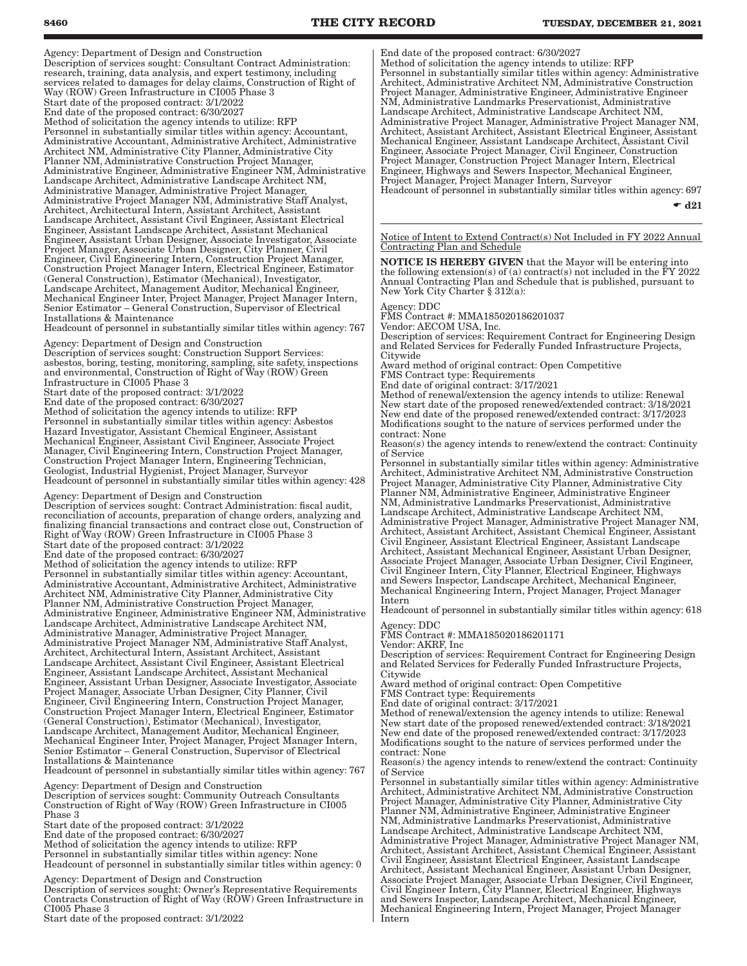Agency: Department of Design and Construction Description of services sought: Consultant Contract Administration: research, training, data analysis, and expert testimony, including services related to damages for delay claims, Construction of Right of Way (ROW) Green Infrastructure in CI005 Phase 3 Start date of the proposed contract: 3/1/2022 End date of the proposed contract: 6/30/2027 Method of solicitation the agency intends to utilize: RFP Personnel in substantially similar titles within agency: Accountant, Administrative Accountant, Administrative Architect, Administrative Architect NM, Administrative City Planner, Administrative City Planner NM, Administrative Construction Project Manager, Administrative Engineer, Administrative Engineer NM, Administrative Landscape Architect, Administrative Landscape Architect NM, Administrative Manager, Administrative Project Manager, Administrative Project Manager NM, Administrative Staff Analyst, Architect, Architectural Intern, Assistant Architect, Assistant Landscape Architect, Assistant Civil Engineer, Assistant Electrical Engineer, Assistant Landscape Architect, Assistant Mechanical Engineer, Assistant Urban Designer, Associate Investigator, Associate Project Manager, Associate Urban Designer, City Planner, Civil Engineer, Civil Engineering Intern, Construction Project Manager, Construction Project Manager Intern, Electrical Engineer, Estimator (General Construction), Estimator (Mechanical), Investigator, Landscape Architect, Management Auditor, Mechanical Engineer, Mechanical Engineer Inter, Project Manager, Project Manager Intern, Senior Estimator – General Construction, Supervisor of Electrical Installations & Maintenance

Headcount of personnel in substantially similar titles within agency: 767

Agency: Department of Design and Construction Description of services sought: Construction Support Services: asbestos, boring, testing, monitoring, sampling, site safety, inspections and environmental, Construction of Right of Way (ROW) Green

Infrastructure in CI005 Phase 3 Start date of the proposed contract: 3/1/2022

End date of the proposed contract: 6/30/2027

Method of solicitation the agency intends to utilize: RFP Personnel in substantially similar titles within agency: Asbestos

Hazard Investigator, Assistant Chemical Engineer, Assistant Mechanical Engineer, Assistant Civil Engineer, Associate Project Manager, Civil Engineering Intern, Construction Project Manager, Construction Project Manager Intern, Engineering Technician, Geologist, Industrial Hygienist, Project Manager, Surveyor Headcount of personnel in substantially similar titles within agency: 428

Agency: Department of Design and Construction

Description of services sought: Contract Administration: fiscal audit, reconciliation of accounts, preparation of change orders, analyzing and finalizing financial transactions and contract close out, Construction of Right of Way (ROW) Green Infrastructure in CI005 Phase 3 Start date of the proposed contract: 3/1/2022 End date of the proposed contract: 6/30/2027 Method of solicitation the agency intends to utilize: RFP Personnel in substantially similar titles within agency: Accountant, Administrative Accountant, Administrative Architect, Administrative Architect NM, Administrative City Planner, Administrative City Planner NM, Administrative Construction Project Manager, Administrative Engineer, Administrative Engineer NM, Administrative Landscape Architect, Administrative Landscape Architect NM, Administrative Manager, Administrative Project Manager, Administrative Project Manager NM, Administrative Staff Analyst, Architect, Architectural Intern, Assistant Architect, Assistant Landscape Architect, Assistant Civil Engineer, Assistant Electrical Engineer, Assistant Landscape Architect, Assistant Mechanical Engineer, Assistant Urban Designer, Associate Investigator, Associate Project Manager, Associate Urban Designer, City Planner, Civil Engineer, Civil Engineering Intern, Construction Project Manager, Construction Project Manager Intern, Electrical Engineer, Estimator (General Construction), Estimator (Mechanical), Investigator, Landscape Architect, Management Auditor, Mechanical Engineer, Mechanical Engineer Inter, Project Manager, Project Manager Intern, Senior Estimator – General Construction, Supervisor of Electrical Installations & Maintenance

Headcount of personnel in substantially similar titles within agency: 767

Agency: Department of Design and Construction Description of services sought: Community Outreach Consultants Construction of Right of Way (ROW) Green Infrastructure in CI005 Phase 3

Start date of the proposed contract: 3/1/2022

End date of the proposed contract: 6/30/2027

Method of solicitation the agency intends to utilize: RFP Personnel in substantially similar titles within agency: None

Headcount of personnel in substantially similar titles within agency: 0

Agency: Department of Design and Construction

Description of services sought: Owner's Representative Requirements Contracts Construction of Right of Way (ROW) Green Infrastructure in CI005 Phase 3

Start date of the proposed contract: 3/1/2022

End date of the proposed contract: 6/30/2027

Method of solicitation the agency intends to utilize: RFP Personnel in substantially similar titles within agency: Administrative Architect, Administrative Architect NM, Administrative Construction Project Manager, Administrative Engineer, Administrative Engineer NM, Administrative Landmarks Preservationist, Administrative Landscape Architect, Administrative Landscape Architect NM, Administrative Project Manager, Administrative Project Manager NM, Architect, Assistant Architect, Assistant Electrical Engineer, Assistant Mechanical Engineer, Assistant Landscape Architect, Assistant Civil Engineer, Associate Project Manager, Civil Engineer, Construction Project Manager, Construction Project Manager Intern, Electrical Engineer, Highways and Sewers Inspector, Mechanical Engineer, Project Manager, Project Manager Intern, Surveyor Headcount of personnel in substantially similar titles within agency: 697

 $\div$  d21

Notice of Intent to Extend Contract(s) Not Included in FY 2022 Annual Contracting Plan and Schedule

NOTICE IS HEREBY GIVEN that the Mayor will be entering into the following extension(s) of (a) contract(s) not included in the  $\overline{F}Y$  2022 Annual Contracting Plan and Schedule that is published, pursuant to New York City Charter § 312(a):

#### Agency: DDC

FMS Contract #: MMA185020186201037

Vendor: AECOM USA, Inc.

Description of services: Requirement Contract for Engineering Design and Related Services for Federally Funded Infrastructure Projects, Citywide

Award method of original contract: Open Competitive

FMS Contract type: Requirements

End date of original contract: 3/17/2021

Method of renewal/extension the agency intends to utilize: Renewal New start date of the proposed renewed/extended contract: 3/18/2021 New end date of the proposed renewed/extended contract: 3/17/2023 Modifications sought to the nature of services performed under the contract: None

Reason(s) the agency intends to renew/extend the contract: Continuity of Service

Personnel in substantially similar titles within agency: Administrative Architect, Administrative Architect NM, Administrative Construction Project Manager, Administrative City Planner, Administrative City Planner NM, Administrative Engineer, Administrative Engineer NM, Administrative Landmarks Preservationist, Administrative Landscape Architect, Administrative Landscape Architect NM, Administrative Project Manager, Administrative Project Manager NM, Architect, Assistant Architect, Assistant Chemical Engineer, Assistant Civil Engineer, Assistant Electrical Engineer, Assistant Landscape Architect, Assistant Mechanical Engineer, Assistant Urban Designer, Associate Project Manager, Associate Urban Designer, Civil Engineer, Civil Engineer Intern, City Planner, Electrical Engineer, Highways and Sewers Inspector, Landscape Architect, Mechanical Engineer, Mechanical Engineering Intern, Project Manager, Project Manager Intern

Headcount of personnel in substantially similar titles within agency: 618 Agency: DDC

FMS Contract #: MMA185020186201171

Vendor: AKRF, Inc

Description of services: Requirement Contract for Engineering Design and Related Services for Federally Funded Infrastructure Projects, Citywide

Award method of original contract: Open Competitive

FMS Contract type: Requirements

End date of original contract: 3/17/2021

Method of renewal/extension the agency intends to utilize: Renewal New start date of the proposed renewed/extended contract: 3/18/2021 New end date of the proposed renewed/extended contract: 3/17/2023 Modifications sought to the nature of services performed under the contract: None

Reason(s) the agency intends to renew/extend the contract: Continuity of Service

Personnel in substantially similar titles within agency: Administrative Architect, Administrative Architect NM, Administrative Construction Project Manager, Administrative City Planner, Administrative City Planner NM, Administrative Engineer, Administrative Engineer NM, Administrative Landmarks Preservationist, Administrative Landscape Architect, Administrative Landscape Architect NM, Administrative Project Manager, Administrative Project Manager NM, Architect, Assistant Architect, Assistant Chemical Engineer, Assistant Civil Engineer, Assistant Electrical Engineer, Assistant Landscape Architect, Assistant Mechanical Engineer, Assistant Urban Designer, Associate Project Manager, Associate Urban Designer, Civil Engineer, Civil Engineer Intern, City Planner, Electrical Engineer, Highways and Sewers Inspector, Landscape Architect, Mechanical Engineer, Mechanical Engineering Intern, Project Manager, Project Manager Intern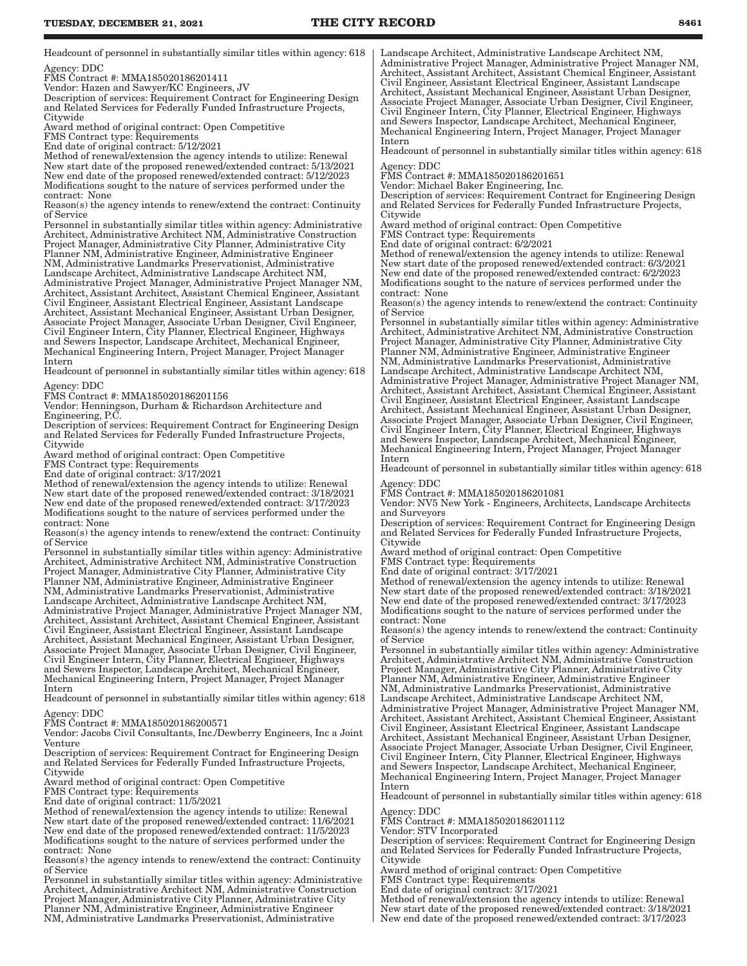Headcount of personnel in substantially similar titles within agency: 618 Agency: DDC

FMS Contract #: MMA185020186201411

Vendor: Hazen and Sawyer/KC Engineers, JV

Description of services: Requirement Contract for Engineering Design and Related Services for Federally Funded Infrastructure Projects, **Citywide** 

Award method of original contract: Open Competitive

FMS Contract type: Requirements

End date of original contract: 5/12/2021

Method of renewal/extension the agency intends to utilize: Renewal New start date of the proposed renewed/extended contract: 5/13/2021 New end date of the proposed renewed/extended contract: 5/12/2023 Modifications sought to the nature of services performed under the contract: None

Reason(s) the agency intends to renew/extend the contract: Continuity of Service

Personnel in substantially similar titles within agency: Administrative Architect, Administrative Architect NM, Administrative Construction Project Manager, Administrative City Planner, Administrative City Planner NM, Administrative Engineer, Administrative Engineer NM, Administrative Landmarks Preservationist, Administrative Landscape Architect, Administrative Landscape Architect NM, Administrative Project Manager, Administrative Project Manager NM, Architect, Assistant Architect, Assistant Chemical Engineer, Assistant Civil Engineer, Assistant Electrical Engineer, Assistant Landscape Architect, Assistant Mechanical Engineer, Assistant Urban Designer, Associate Project Manager, Associate Urban Designer, Civil Engineer, Civil Engineer Intern, City Planner, Electrical Engineer, Highways and Sewers Inspector, Landscape Architect, Mechanical Engineer, Mechanical Engineering Intern, Project Manager, Project Manager Intern

Headcount of personnel in substantially similar titles within agency: 618 Agency: DDC

FMS Contract #: MMA185020186201156

Vendor: Henningson, Durham & Richardson Architecture and Engineering, P.C.

Description of services: Requirement Contract for Engineering Design and Related Services for Federally Funded Infrastructure Projects, **Citywide** 

Award method of original contract: Open Competitive

FMS Contract type: Requirements

End date of original contract: 3/17/2021

Method of renewal/extension the agency intends to utilize: Renewal New start date of the proposed renewed/extended contract: 3/18/2021 New end date of the proposed renewed/extended contract: 3/17/2023 Modifications sought to the nature of services performed under the contract: None

Reason(s) the agency intends to renew/extend the contract: Continuity of Service

Personnel in substantially similar titles within agency: Administrative Architect, Administrative Architect NM, Administrative Construction Project Manager, Administrative City Planner, Administrative City Planner NM, Administrative Engineer, Administrative Engineer NM, Administrative Landmarks Preservationist, Administrative Landscape Architect, Administrative Landscape Architect NM, Administrative Project Manager, Administrative Project Manager NM, Architect, Assistant Architect, Assistant Chemical Engineer, Assistant Civil Engineer, Assistant Electrical Engineer, Assistant Landscape Architect, Assistant Mechanical Engineer, Assistant Urban Designer, Associate Project Manager, Associate Urban Designer, Civil Engineer, Civil Engineer Intern, City Planner, Electrical Engineer, Highways and Sewers Inspector, Landscape Architect, Mechanical Engineer, Mechanical Engineering Intern, Project Manager, Project Manager Intern

Headcount of personnel in substantially similar titles within agency: 618

Agency: DDC

FMS Contract #: MMA185020186200571

Vendor: Jacobs Civil Consultants, Inc./Dewberry Engineers, Inc a Joint Venture

Description of services: Requirement Contract for Engineering Design and Related Services for Federally Funded Infrastructure Projects, Citywide

Award method of original contract: Open Competitive

FMS Contract type: Requirements

End date of original contract: 11/5/2021

Method of renewal/extension the agency intends to utilize: Renewal New start date of the proposed renewed/extended contract: 11/6/2021 New end date of the proposed renewed/extended contract: 11/5/2023 Modifications sought to the nature of services performed under the contract: None

Reason(s) the agency intends to renew/extend the contract: Continuity of Service

Personnel in substantially similar titles within agency: Administrative Architect, Administrative Architect NM, Administrative Construction Project Manager, Administrative City Planner, Administrative City Planner NM, Administrative Engineer, Administrative Engineer NM, Administrative Landmarks Preservationist, Administrative

Landscape Architect, Administrative Landscape Architect NM, Administrative Project Manager, Administrative Project Manager NM, Architect, Assistant Architect, Assistant Chemical Engineer, Assistant Civil Engineer, Assistant Electrical Engineer, Assistant Landscape Architect, Assistant Mechanical Engineer, Assistant Urban Designer, Associate Project Manager, Associate Urban Designer, Civil Engineer, Civil Engineer Intern, City Planner, Electrical Engineer, Highways and Sewers Inspector, Landscape Architect, Mechanical Engineer, Mechanical Engineering Intern, Project Manager, Project Manager Intern

Headcount of personnel in substantially similar titles within agency: 618 Agency: DDC

FMS Contract #: MMA185020186201651

Vendor: Michael Baker Engineering, Inc.

Description of services: Requirement Contract for Engineering Design and Related Services for Federally Funded Infrastructure Projects, Citywide

Award method of original contract: Open Competitive

FMS Contract type: Requirements End date of original contract: 6/2/2021

Method of renewal/extension the agency intends to utilize: Renewal New start date of the proposed renewed/extended contract: 6/3/2021 New end date of the proposed renewed/extended contract: 6/2/2023 Modifications sought to the nature of services performed under the contract: None

Reason(s) the agency intends to renew/extend the contract: Continuity of Service

Personnel in substantially similar titles within agency: Administrative Architect, Administrative Architect NM, Administrative Construction Project Manager, Administrative City Planner, Administrative City Planner NM, Administrative Engineer, Administrative Engineer NM, Administrative Landmarks Preservationist, Administrative Landscape Architect, Administrative Landscape Architect NM, Administrative Project Manager, Administrative Project Manager NM, Architect, Assistant Architect, Assistant Chemical Engineer, Assistant Civil Engineer, Assistant Electrical Engineer, Assistant Landscape Architect, Assistant Mechanical Engineer, Assistant Urban Designer, Associate Project Manager, Associate Urban Designer, Civil Engineer, Civil Engineer Intern, City Planner, Electrical Engineer, Highways and Sewers Inspector, Landscape Architect, Mechanical Engineer, Mechanical Engineering Intern, Project Manager, Project Manager Intern

Headcount of personnel in substantially similar titles within agency: 618 Agency: DDC

FMS Contract #: MMA185020186201081

Vendor: NV5 New York - Engineers, Architects, Landscape Architects and Surveyors

Description of services: Requirement Contract for Engineering Design and Related Services for Federally Funded Infrastructure Projects, Citywide

Award method of original contract: Open Competitive

FMS Contract type: Requirements

End date of original contract: 3/17/2021

Method of renewal/extension the agency intends to utilize: Renewal New start date of the proposed renewed/extended contract: 3/18/2021 New end date of the proposed renewed/extended contract: 3/17/2023 Modifications sought to the nature of services performed under the contract: None

Reason(s) the agency intends to renew/extend the contract: Continuity of Service

Personnel in substantially similar titles within agency: Administrative Architect, Administrative Architect NM, Administrative Construction Project Manager, Administrative City Planner, Administrative City Planner NM, Administrative Engineer, Administrative Engineer NM, Administrative Landmarks Preservationist, Administrative Landscape Architect, Administrative Landscape Architect NM, Administrative Project Manager, Administrative Project Manager NM, Architect, Assistant Architect, Assistant Chemical Engineer, Assistant Civil Engineer, Assistant Electrical Engineer, Assistant Landscape Architect, Assistant Mechanical Engineer, Assistant Urban Designer, Associate Project Manager, Associate Urban Designer, Civil Engineer, Civil Engineer Intern, City Planner, Electrical Engineer, Highways and Sewers Inspector, Landscape Architect, Mechanical Engineer, Mechanical Engineering Intern, Project Manager, Project Manager Intern

Headcount of personnel in substantially similar titles within agency: 618 Agency: DDC

FMS Contract #: MMA185020186201112

Vendor: STV Incorporated

Description of services: Requirement Contract for Engineering Design and Related Services for Federally Funded Infrastructure Projects, Citywide

Award method of original contract: Open Competitive

FMS Contract type: Requirements

End date of original contract: 3/17/2021

Method of renewal/extension the agency intends to utilize: Renewal New start date of the proposed renewed/extended contract: 3/18/2021 New end date of the proposed renewed/extended contract: 3/17/2023